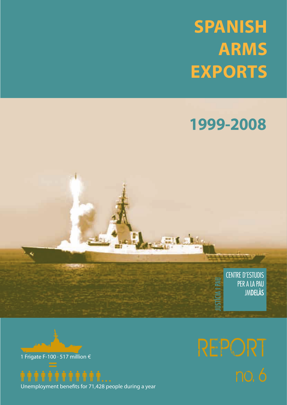# **SPANISH ARMS EXPORTS**

# **1999-2008**

**CENTRE D'ESTUDIS** PER A LA PAU **JMDELÀS** 





Unemployment benefits for 71,428 people during a year

=

REPORT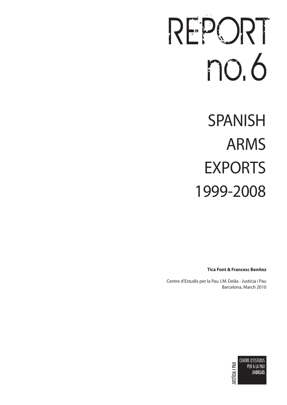# REPORT no. 6

SPANISH ARMS EXPORTS 1999-2008

**Tica Font & Francesc Benítez** 

Centre d'Estudis per la Pau J.M. Delàs · Justícia i Pau Barcelona, March 2010

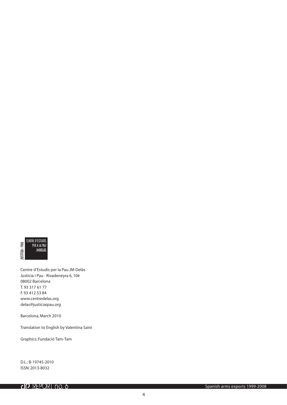

Centre d'Estudis per la Pau JM Delàs Justícia i Pau · Rivadeneyra 6, 10è 08002 Barcelona T. 93 317 61 77 F. 93 412 53 84 www.centredelas.org delas@justiciaipau.org

Barcelona, March 2010

Translation to English by Valentina Saini

Graphics: Fundació Tam-Tam

D.L.: B-19745-2010 ISSN: 2013-8032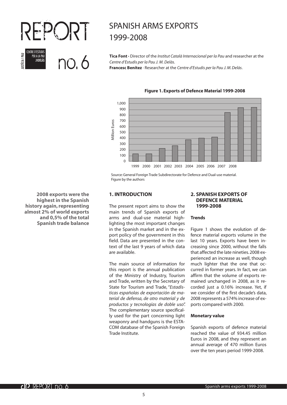

# SPANISH ARMS EXPORTS 1999-2008

**Tica Font ·** Director of the *Institut Català Internacional per la Pau* and researcher at the *Centre d'Estudis per la Pau J. M. Delàs*.

**Francesc Benítez** · Researcher at the *Centre d'Estudis per la Pau J. M. Delàs*.



# **Figure 1. Exports of Defence Material 1999-2008**

Source: General Foreign Trade Subdirectorate for Defence and Dual-use material. Figure by the authors

## **1. INTRODUCTION**

The present report aims to show the main trends of Spanish exports of arms and dual-use material highlighting the most important changes in the Spanish market and in the export policy of the government in this field. Data are presented in the context of the last 9 years of which data are available.

The main source of information for this report is the annual publication of the Ministry of Industry, Tourism and Trade, written by the Secretary of State for Tourism and Trade, "*Estadísticas españolas de exportación de material de defensa, de otro material y de productos y tecnologías de doble uso*". The complementary source specifically used for the part concerning light weaponry and handguns is the ESTA-COM database of the Spanish Foreign Trade Institute.

# **2. SPANISH EXPORTS OF DEFENCE MATERIAL 1999-2008**

# **Trends**

Figure 1 shows the evolution of defence material exports volume in the last 10 years. Exports have been increasing since 2000, without the falls that affected the late nineties. 2008 experienced an increase as well, though much lighter that the one that occurred in former years. In fact, we can affirm that the volume of exports remained unchanged in 2008, as it recorded just a 0.16% increase. Yet, if we consider of the first decade's data, 2008 represents a 574% increase of exports compared with 2000.

#### **Monetary value**

Spanish exports of defence material reached the value of 934.45 million Euros in 2008, and they represent an annual average of 470 million Euros over the ten years period 1999-2008.

**2008 exports were the highest in the Spanish history again, representing almost 2% of world exports and 0,5% of the total Spanish trade balance**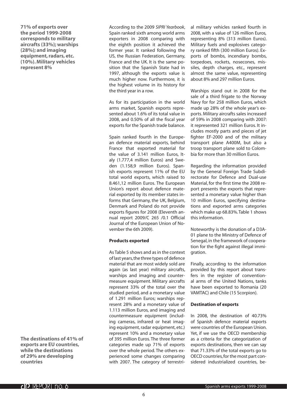**71% of exports over the period 1999-2008 corresponds to military aircrafts (33%); warships (28%); and imaging equipment, radars, etc. (10%). Military vehicles represent 8%**

**The destinations of 41% of exports are EU countries, while the destinations of 29% are developing countries**

According to the 2009 *SIPRI Yearbook*, Spain ranked sixth among world arms exporters in 2008 comparing with the eighth position it achieved the former year. It ranked following the US, the Russian Federation, Germany, France and the UK. It is the same position that the Spanish State had in 1997, although the exports value is much higher now. Furthermore, it is the highest volume in its history for the third year in a row.

As for its participation in the world arms market, Spanish exports represented about 1.6% of its total value in 2008, and 0.50% of all the fiscal year exports for the Spanish trade balance.

Spain ranked fourth in the European defence material exports, behind France that exported material for the value of 3.141 million Euros, Italy (1.777,4 million Euros) and Sweden (1.158,9 million Euros). Spanish exports represent 11% of the EU total world exports, which raised to 8.461,12 million Euros. The European Union's report about defence material exported by its member states informs that Germany, the UK, Belgium, Denmark and Poland do not provide exports figures for 2008 (Eleventh annual report 2009/C 265 /0.1 Official Journal of the European Union of November the 6th 2009).

# **Products exported**

As Table 5 shows and as in the context of last years, the three types of defence material that are most widely sold are again (as last year) military aircrafts, warships and imaging and countermeasure equipment. Military aircrafts represent 33% of the total over the studied period, and a monetary value of 1.291 million Euros; warships represent 28% and a monetary value of 1.113 million Euros, and imaging and countermeasure equipment (including cameras, infrared or heat imaging equipment, radar equipment, etc.) represent 10% and a monetary value of 395 million Euros. The three former categories made up 71% of exports over the whole period. The others experienced some changes comparing with 2007. The category of terrestrial military vehicles ranked fourth in 2008, with a value of 126 million Euros, representing 8% (313 million Euros). Military fuels and explosives category ranked fifth (300 million Euros). Exports of bombs, incendiary bombs, torpedoes, rockets, nosecones, missiles, depth charges, etc., represent almost the same value, representing about 8% and 297 million Euros.

Warships stand out in 2008 for the sale of a third frigate to the Norway Navy for for 258 million Euros, which made up 28% of the whole year's exports. Military aircrafts sales increased of 59% in 2008 comparing with 2007: it represented 321 million Euros. It includes mostly parts and pieces of jet fighter EF-2000 and of the military transport plane A400M, but also a troop transport plane sold to Colombia for more than 30 million Euros.

Regarding the information provided by the General Foreign Trade Subdirectorate for Defence and Dual-use Material, for the first time the 2008 report presents the exports that represented a monetary value higher than 10 million Euros, specifying destinations and exported arms categories which make up 68.83%. Table 1 shows this information.

Noteworthy is the donation of a D3A-01 plane to the Ministry of Defence of Senegal, in the framework of cooperation for the fight against illegal immigration.

Finally, according to the information provided by this report about transfers in the register of conventional arms of the United Nations, tanks have been exported to Romania (20 VAMTAC) and Chile (15 Scorpion).

# **Destination of exports**

In 2008, the destination of 40.73% of Spanish defence material exports were countries of the European Union. Yet, if we use the OECD membership as a criteria for the categorization of exports destinations, then we can say that 71.33% of the total exports go to OECD countries, for the most part considered industrialized countries, be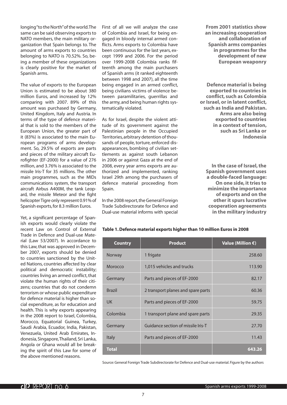longing "to the North" of the world. The same can be said observing exports to NATO members, the main military organization that Spain belongs to. The amount of arms exports to countries belonging to NATO is 70.52%. So, being a member of these organizations is clearly positive for the market of Spanish arms.

The value of exports to the European Union is estimated to be about 380 million Euros, and increased by 12% comparing with 2007. 89% of this amount was purchased by Germany, United Kingdom, Italy and Austria. In terms of the type of defence material that is sold to the members of the European Union, the greater part of it (83%) is associated to the main European programs of arms development. So, 29.5% of exports are parts and pieces of the military aircraft Eurofighter (EF-2000) for a value of 276 million, and 3.76% is associated to the missile Iris-T for 35 millions. The other main programmes, such as the MIDs communications system, the transport aircraft Airbus A400M, the tank Leopard, the missile Meteor and the fight helicopter Tigre only represent 0.91% of Spanish exports, for 8.3 million Euros.

Yet, a significant percentage of Spanish exports would clearly violate the recent Law on Control of External Trade in Defence and Dual-use Material (Law 53/2007). In accordance to this Law, that was approved in December 2007, exports should be denied to countries sanctioned by the United Nations, countries affected by clear political and democratic instability; countries living an armed conflict, that violate the human rights of their citizens; countries that do not condemn terrorism or whose public expenditure for defence material is higher than social expenditure, as for education and health. This is why exports appearing in the 2008 report to Israel, Colombia, Morocco, Equatorial Guinea, Turkey, Saudi Arabia, Ecuador, India, Pakistan, Venezuela, United Arab Emirates, Indonesia, Singapore, Thailand, Sri Lanka, Angola or Ghana would all be breaking the spirit of this Law for some of the above mentioned reasons.

First of all we will analyze the case of Colombia and Israel, for being engaged in bloody internal armed conflicts. Arms exports to Colombia have been continuous for the last years, except 1999 and 2006. For the period over 1999-2008 Colombia ranks fifteenth among the main purchasers of Spanish arms (it ranked eighteenth between 1998 and 2007), all the time being engaged in an armed conflict, being civilians victims of violence between paramilitaries, guerrillas and the army, and being human rights systematically violated.

As for Israel, despite the violent attitude of its government against the Palestinian people in the Occupied Territories, arbitrary detention of thousands of people, torture, enforced disappearances, bombing of civilian settlements as against south Lebanon in 2006 or against Gaza at the end of 2008, every year arms exports are authorized and implemented, ranking Israel 29th among the purchasers of defence material proceeding from Spain.

In the 2008 report, the General Foreign Trade Subdirectorate for Defence and Dual-use material informs with special

**From 2001 statistics show an increasing cooperation and collaboration of Spanish arms companies in programmes for the development of new European weaponry** 

**Defence material is being exported to countries in conflict, such as Colombia or Israel, or in latent conflict, such as India and Pakistan. Arms are also being exported to countries in a context of tension, such as Sri Lanka or Indonesia**

**In the case of Israel, the Spanish government uses a double-faced language: On one side, it tries to minimize the importance of exports and on the other it spurs lucrative cooperation agreements in the military industry**

| <b>Country</b> | <b>Product</b>                     | Value (Million $\epsilon$ ) |
|----------------|------------------------------------|-----------------------------|
| Norway         | 1 frigate                          | 258.60                      |
| Morocco        | 1,015 vehicles and trucks          | 113.90                      |
| Germany        | Parts and pieces of EF-2000        | 82.17                       |
| <b>Brazil</b>  | 2 transport planes and spare parts | 60.36                       |
| <b>UK</b>      | Parts and pieces of EF-2000        | 59.75                       |
| Colombia       | 1 transport plane and spare parts  | 29.35                       |
| Germany        | Guidance section of missile Iris-T | 27.70                       |
| <b>Italy</b>   | Parts and pieces of EF-2000        | 11.43                       |
| <b>Total</b>   |                                    | 643.26                      |

**Table 1. Defence material exports higher than 10 million Euros in 2008**

Source: General Foreign Trade Subdirectorate for Defence and Dual-use material. Figure by the authors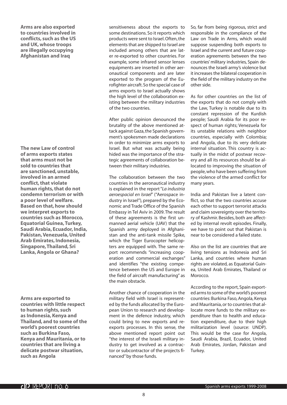**Arms are also exported to countries involved in conflicts, such as the US and UK, whose troops are illegally occupying Afghanistan and Iraq**

**The new Law of control of arms exports states that arms must not be sold to countries that are sanctioned, unstable, involved in an armed conflict, that violate human rights, that do not condemn terrorism or with a poor level of welfare. Based on that, how should we interpret exports to countries such as Morocco, Equatorial Guinea, Turkey, Saudi Arabia, Ecuador, India, Pakistan, Venezuela, United Arab Emirates, Indonesia, Singapore, Thailand, Sri Lanka, Angola or Ghana?**

**Arms are exported to countries with little respect to human rights, such as Indonesia, Kenya and Thailand, and to some of the world's poorest countries such as Burkina Faso, Kenya and Mauritania, or to countries that are living a delicate postwar situation, such as Angola**

sensitiveness about the exports to some destinations. So it reports which products were sent to Israel. Often, the elements that are shipped to Israel are included among others that are later re-exported to other countries. For example, some infrared sensor lenses equipments are inserted in other aeronautical components and are later exported to the program of the Eurofighter aircraft. So the special case of arms exports to Israel actually shows the high level of the collaboration existing between the military industries of the two countries.

After public opinion denounced the brutality of the above mentioned attack against Gaza, the Spanish government's spokesmen made declarations in order to minimize arms exports to Israel. But what was actually being hided was the importance of the strategic agreements of collaboration between their military industries.

The collaboration between the two countries in the aeronautical industry is explained in the report "*La industria aeroespacial en Israel*" ("Aerospace industry in Israel"), prepared by the Economic and Trade Office of the Spanish Embassy in Tel Aviv in 2009. The result of these agreements is the first unmanned aerial vehicle (UAV) that the Spanish army deployed in Afghanistan and the anti-tank missile Spike, which the Tiger Eurocopter helicopters are equipped with. The same report recommends "increasing cooperation and commercial exchanges" and identifies "the existing competence between the US and Europe in the field of aircraft manufacturing" as the main obstacle.

Another chance of cooperation in the military field with Israel is represented by the funds allocated by the European Union to research and development in the defence industry, which could bring to new exports and reexports processes. In this sense, the above mentioned report point out "the interest of the Israeli military industry to get involved as a contractor or subcontractor of the projects financed" by those funds.

So, far from being rigorous, strict and responsible in the compliance of the Law on Trade in Arms, which would suppose suspending both exports to Israel and the current and future cooperation agreements between the two countries' military industries, Spain denounces the Israeli army's violence but it increases the bilateral cooperation in the field of the military industry on the other side.

As for other countries on the list of the exports that do not comply with the Law, Turkey is notable due to its constant repression of the Kurdish people; Saudi Arabia for its poor respect of human rights; Venezuela for its unstable relations with neighbor countries, especially with Colombia; and Angola, due to its very delicate internal situation. This country is actually in the midst of postwar recovery and all its resources should be allocated to improving the situation of people, who have been suffering from the violence of the armed conflict for many years.

India and Pakistan live a latent conflict, so that the two countries accuse each other to support terrorist attacks and claim sovereignty over the territory of Kashmir. Besides, both are affected by internal revolt episodes. Finally, we have to point out that Pakistan is near to be considered a failed state.

Also on the list are countries that are living tensions as Indonesia and Sri Lanka, and countries where human rights are violated, as Equatorial Guinea, United Arab Emirates, Thailand or Morocco.

According to the report, Spain exported arms to some of the world's poorest countries: Burkina Faso, Angola, Kenya and Mauritania, or to countries that allocate more funds to the military expenditure than to health and education expenditure, due to their high militarization level (source: UNDP). This would be the case for Angola, Saudi Arabia, Brazil, Ecuador, United Arab Emirates, Jordan, Pakistan and Turkey.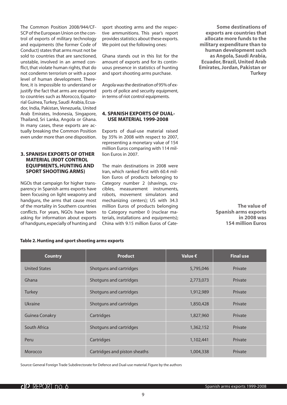The Common Position 2008/944/CF-SCP of the European Union on the control of exports of military technology and equipments (the former Code of Conduct) states that arms must not be sold to countries that are sanctioned, unstable, involved in an armed conflict, that violate human rights, that do not condemn terrorism or with a poor level of human development. Therefore, it is impossible to understand or justify the fact that arms are exported to countries such as Morocco, Equatorial Guinea, Turkey, Saudi Arabia, Ecuador, India, Pakistan, Venezuela, United Arab Emirates, Indonesia, Singapore, Thailand, Sri Lanka, Angola or Ghana. In many cases, these exports are actually breaking the Common Position even under more than one disposition.

# **3. SPANISH EXPORTS OF OTHER MATERIAL (RIOT CONTROL EQUIPMENTS, HUNTING AND SPORT SHOOTING ARMS)**

NGOs that campaign for higher transparency in Spanish arms exports have been focusing on light weaponry and handguns, the arms that cause most of the mortality in Southern countries conflicts. For years, NGOs have been asking for information about exports of handguns, especially of hunting and sport shooting arms and the respective ammunitions. This year's report provides statistics about these exports. We point out the following ones:

Ghana stands out in this list for the amount of exports and for its continuous presence in statistics of hunting and sport shooting arms purchase.

Angola was the destination of 95% of exports of police and security equipment, in terms of riot control equipments.

# **4. SPANISH EXPORTS OF DUAL-USE MATERIAL 1999-2008**

Exports of dual-use material raised by 35% in 2008 with respect to 2007, representing a monetary value of 154 million Euros comparing with 114 million Euros in 2007.

The main destinations in 2008 were Iran, which ranked first with 60.4 million Euros of products belonging to Category number 2 (shavings, crucibles, measurement instruments, robots, movement simulators and mechanizing centers); US with 34.3 million Euros of products belonging to Category number 0 (nuclear materials, installations and equipments); China with 9.15 million Euros of Cate-

**Some destinations of exports are countries that allocate more funds to the military expenditure than to human development such as Angola, Saudi Arabia, Ecuador, Brazil, United Arab Emirates, Jordan, Pakistan or Turkey**

> **The value of Spanish arms exports in 2008 was 154 million Euros**

| <b>Country</b>        | <b>Product</b>                | Value $\epsilon$ | <b>Final use</b> |
|-----------------------|-------------------------------|------------------|------------------|
| <b>United States</b>  | Shotguns and cartridges       | 5,795,046        | Private          |
| Ghana                 | Shotguns and cartridges       | 2,773,073        | Private          |
| <b>Turkey</b>         | Shotguns and cartridges       | 1,912,989        | Private          |
| Ukraine               | Shotguns and cartridges       | 1,850,428        | Private          |
| <b>Guinea Conakry</b> | Cartridges                    | 1,827,960        | Private          |
| South Africa          | Shotguns and cartridges       | 1,362,152        | Private          |
| Peru                  | Cartridges                    | 1,102,441        | Private          |
| Morocco               | Cartridges and piston sheaths | 1,004,338        | Private          |

# **Table 2. Hunting and sport shooting arms exports**

Source: General Foreign Trade Subdirectorate for Defence and Dual-use material. Figure by the authors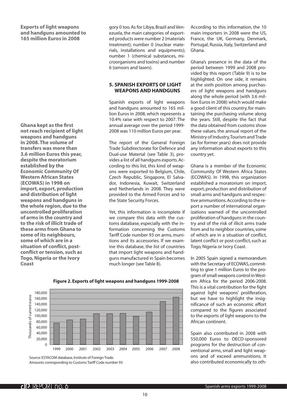# **Exports of light weapons and handguns amounted to 165 million Euros in 2008**

**Ghana kept as the first not reach recipient of light weapons and handguns in 2008. The volume of transfers was more than 3.6 million Euros this year, despite the moratorium established by the Economic Community Of Western African States (ECOWAS) in 1998 on import, export, production and distribution of light weapons and handguns in the whole region, due to the uncontrolled proliferation of arms in the country and to the risk of illicit trade of these arms from Ghana to some of its neighbours, some of which are in a situation of conflict, postconflict or tension, such as Togo, Nigeria or the Ivory Coast**

gory 0 too. As for Libya, Brazil and Venezuela, the main categories of exported products were number 2 (materials treatment); number 0 (nuclear materials, installations and equipments); number 1 (chemical substances, microorganisms and toxins) and number 6 (sensors and lasers).

# **5. SPANISH EXPORTS OF LIGHT WEAPONS AND HANDGUNS**

Spanish exports of light weapons and handguns amounted to 165 million Euros in 2008, which represents a 10.4% raise with respect to 2007. The annual average over the period 1999- 2008 was 110 million Euros per year.

The report of the General Foreign Trade Subdirectorate for Defence and Dual-use Material (see Table 3), provides a list of all handguns exports. According to this list, this kind of weapons were exported to Belgium, Chile, Czech Republic, Singapore, El Salvador, Indonesia, Kuwait, Switzerland and Netherlands in 2008. They were provided to the Armed Forces and to the State Security Forces.

Yet, this information is incomplete if we compare this data with the customs database, especially with the information concerning the Customs Tariff Code number 93 on arms, munitions and its accessories. If we examine this database, the list of countries that import light weapons and handguns manufactured in Spain becomes much longer (see Table 8).

According to this information, the 10 main importers in 2008 were the US, France, the UK, Germany, Denmark, Portugal, Russia, Italy, Switzerland and Ghana.

Ghana's presence in the data of the period between 1999 and 2008 provided by this report (Table 9) is to be highlighted. On one side, it remains at the sixth position among purchasers of light weapons and handguns along the whole period (with 3.6 million Euros in 2008) which would make a good client of this country, for maintaining the purchasing volume along the years. Still, despite the fact that the data obtained from customs show these values, the annual report of the Ministry of Industry, Tourism and Trade (as for former years) does not provide any information about exports to this country yet.

Ghana is a member of the Economic Community Of Western Africa States (ECOWAS). In 1998, this organization established a moratorium on import, export, production and distribution of small arms and handguns and respective ammunitions. According to the report a number of international organizations warned of the uncontrolled proliferation of handguns in the country and of the risk of illicit arms trade from and to neighbor countries, some of which are in a situation of conflict, latent conflict or post-conflict, such as Togo, Nigeria or Ivory Coast.

In 2005 Spain signed a memorandum with the Secretary of ECOWAS, committing to give 1 million Euros to the program of small weapons control in Western Africa for the period 2006-2008. This is a vital contribution for the fight against light weapons' proliferation, but we have to highlight the insignificance of such an economic effort compared to the figures associated to the exports of light weapons to the African continent.

Spain also contributed in 2008 with 550,000 Euros to OECD-sponsored programs for the destruction of conventional arms, small and light weapons and of exceed ammunitions. It also contributed economically to oth-



# **Figure 2. Exports of light weapons and handguns 1999-2008**

Source: ESTACOM database, Institute of Foreign Trade. Amounts corresponding to Customs Tariff Code number 93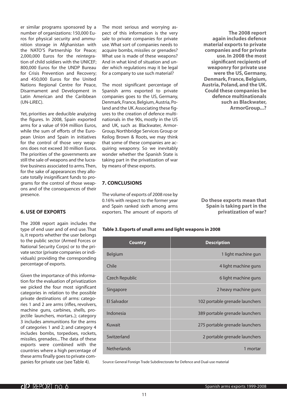er similar programs sponsored by a number of organizations: 150,000 Euros for physical security and ammunition storage in Afghanistan with the NATO'S Partnership for Peace; 2,000,000 Euros for the reintegration of child soldiers with the UNICEF; 800,000 Euros for the UNDP Bureau for Crisis Prevention and Recovery; and 450,000 Euros for the United Nations Regional Centre for Peace, Disarmament and Development in Latin American and the Caribbean (UN-LiREC).

Yet, priorities are deducible analyzing the figures. In 2008, Spain exported arms for a value of 934 million Euros, while the sum of efforts of the European Union and Spain in initiatives for the control of those very weapons does not exceed 30 million Euros. The priorities of the governments are still the sale of weapons and the lucrative business associated to arms. Then, for the sake of appearances they allocate totally insignificant funds to programs for the control of those weapons and of the consequences of their presence.

# **6. USE OF EXPORTS**

The 2008 report again includes the type of end user and of end use. That is, it reports whether the user belongs to the public sector (Armed Forces or National Security Corps) or to the private sector (private companies or individuals) providing the corresponding percentage of exports.

Given the importance of this information for the evaluation of privatization we picked the four most significant categories in relation to the possible private destinations of arms: categories 1 and 2 are arms (rifles, revolvers, machine guns, carbines, shells, projectile launchers, mortars..); category 3 includes ammunitions for the arms of categories 1 and 2; and category 4 includes bombs, torpedoes, rockets, missiles, grenades... The data of these exports were combined with the countries where a high percentage of these arms finally goes to private companies for private use (see Table 4).

The most serious and worrying aspect of this information is the very sale to private companies for private use. What sort of companies needs to acquire bombs, missiles or grenades? What use is made of these weapons? And in what kind of situation and under which regulations may it be legal for a company to use such material?

The most significant percentage of Spanish arms exported to private companies goes to the US, Germany, Denmark, France, Belgium, Austria, Poland and the UK. Associating these figures to the creation of defence multinationals in the 90s, mostly in the US and UK, such as Blackwater, Armor-Group, Northbridge Services Group or Keilog Brown & Roots, we may think that some of these companies are acquiring weaponry. So we inevitably wonder whether the Spanish State is taking part in the privatization of war by means of these exports.

# **7. CONCLUSIONS**

The volume of exports of 2008 rose by 0.16% with respect to the former year and Spain ranked sixth among arms exporters. The amount of exports of

**The 2008 report again includes defence material exports to private companies and for private use. In 2008 the most significant recipients of weaponry for private use were the US, Germany, Denmark, France, Belgium, Austria, Poland, and the UK. Could these companies be defence multinationals such as Blackwater, ArmorGroup...?**

**Do these exports mean that Spain is taking part in the privatization of war?** 

# **Table 3. Exports of small arms and light weapons in 2008**

| Country            | <b>Description</b>             |
|--------------------|--------------------------------|
| <b>Belgium</b>     | 1 light machine gun            |
| Chile              | 4 light machine guns           |
| Czech Republic     | 6 light machine guns           |
| Singapore          | 2 heavy machine guns           |
| <b>FI Salvador</b> | 102 portable grenade launchers |
| Indonesia          | 389 portable grenade launchers |
| Kuwait             | 275 portable grenade launchers |
| Switzerland        | 2 portable grenade launchers   |
| <b>Netherlands</b> | 1 mortar                       |

Source: General Foreign Trade Subdirectorate for Defence and Dual-use material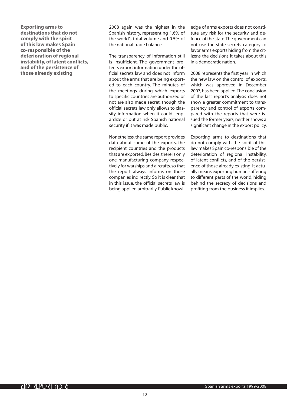**Exporting arms to destinations that do not comply with the spirit of this law makes Spain co-responsible of the deterioration of regional instability, of latent conflicts, and of the persistence of those already existing**

2008 again was the highest in the Spanish history, representing 1.6% of the world's total volume and 0.5% of the national trade balance.

The transparency of information still is insufficient. The government protects export information under the official secrets law and does not inform about the arms that are being exported to each country. The minutes of the meetings during which exports to specific countries are authorized or not are also made secret, though the official secrets law only allows to classify information when it could jeopardize or put at risk Spanish national security if it was made public.

Nonetheless, the same report provides data about some of the exports, the recipient countries and the products that are exported. Besides, there is only one manufacturing company respectively for warships and aircrafts, so that the report always informs on those companies indirectly. So it is clear that in this issue, the official secrets law is being applied arbitrarily. Public knowledge of arms exports does not constitute any risk for the security and defence of the state. The government can not use the state secrets category to favor arms exports hiding from the citizens the decisions it takes about this in a democratic nation.

2008 represents the first year in which the new law on the control of exports, which was approved in December 2007, has been applied. The conclusion of the last report's analysis does not show a greater commitment to transparency and control of exports compared with the reports that were issued the former years, neither shows a significant change in the export policy.

Exporting arms to destinations that do not comply with the spirit of this law makes Spain co-responsible of the deterioration of regional instability, of latent conflicts, and of the persistence of those already existing. It actually means exporting human suffering to different parts of the world, hiding behind the secrecy of decisions and profiting from the business it implies.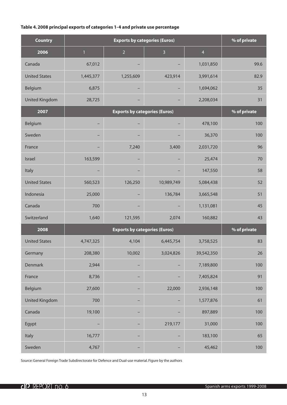# **Table 4. 2008 principal exports of categories 1-4 and private use percentage**

| <b>Country</b>        |              |                                      | % of private   |                |              |
|-----------------------|--------------|--------------------------------------|----------------|----------------|--------------|
| 2006                  | $\mathbf{1}$ | $\overline{2}$                       | $\overline{3}$ | $\overline{4}$ |              |
| Canada                | 67,012       |                                      |                | 1,031,850      | 99.6         |
| <b>United States</b>  | 1,445,377    | 1,255,609                            | 423,914        | 3,991,614      | 82.9         |
| Belgium               | 6,875        |                                      | -              | 1,694,062      | 35           |
| <b>United Kingdom</b> | 28,725       |                                      |                | 2,208,034      | 31           |
| 2007                  |              | % of private                         |                |                |              |
| Belgium               |              |                                      | -              | 478,100        | 100          |
| Sweden                |              |                                      |                | 36,370         | 100          |
| France                |              | 7,240                                | 3,400          | 2,031,720      | 96           |
| <b>Israel</b>         | 163,599      |                                      | -              | 25,474         | 70           |
| Italy                 |              |                                      |                | 147,550        | 58           |
| <b>United States</b>  | 560,523      | 126,250                              | 10,989,749     | 5,084,438      | 52           |
| Indonesia             | 25,000       |                                      | 136,784        | 3,665,548      | 51           |
| Canada                | 700          |                                      |                | 1,131,081      | 45           |
| Switzerland           | 1,640        | 121,595                              | 2,074          | 160,882        | 43           |
| 2008                  |              | <b>Exports by categories (Euros)</b> |                |                | % of private |
| <b>United States</b>  | 4,747,325    | 4,104                                | 6,445,754      | 3,758,525      | 83           |
| Germany               | 208,380      | 10,002                               | 3,024,826      | 39,542,350     | 26           |
| Denmark               | 2,944        | -                                    | -              | 7,189,800      | 100          |
| France                | 8,736        | -                                    | -              | 7,405,824      | 91           |
| Belgium               | 27,600       | -                                    | 22,000         | 2,936,148      | 100          |
| <b>United Kingdom</b> | 700          | -                                    | -              | 1,577,876      | 61           |
| Canada                | 19,100       | -                                    | -              | 897,889        | 100          |
| Egypt                 |              | -                                    | 219,177        | 31,000         | 100          |
| Italy                 | 16,777       | -                                    | -              | 183,100        | 65           |
| Sweden                | 4,767        | -                                    | -              | 45,462         | 100          |

Source: General Foreign Trade Subdirectorate for Defence and Dual-use material. Figure by the authors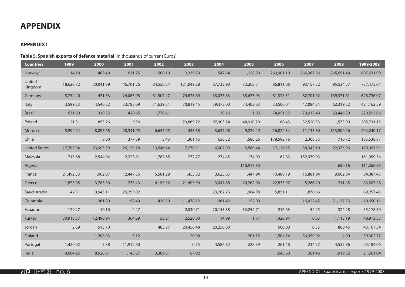# **APPENDIX**

# **APPENDIX I**

# **Table 5. Spanish exports of defence material** (in thousands of current Euros)

| <b>Countries</b>     | 1999      | 2000      | 2001      | 2002      | 2003       | 2004      | 2005       | 2006       | 2007       | 2008       | 1999-2008  |
|----------------------|-----------|-----------|-----------|-----------|------------|-----------|------------|------------|------------|------------|------------|
| Norway               | 14.18     | 409.49    | 631.25    | 500.10    | 2,339.79   | 547.84    | 1,228.80   | 269,901.10 | 266,367.96 | 265,691.48 | 807,631.99 |
| United<br>Kingdom    | 18,626.72 | 30,041.89 | 46,701.26 | 84,550.54 | 121,049.28 | 87,733.90 | 73,268.51  | 86,811.06  | 93,157.32  | 95,534.57  | 737,475.04 |
| Germany              | 5,754.40  | 471.53    | 24,063.98 | 61,507.47 | 74,826.89  | 63,035.83 | 65,673.93  | 81,328.51  | 82,701.92  | 169,371.61 | 628,736.07 |
| Italy                | 3,599.23  | 4,540.52  | 33,783.09 | 71,639.51 | 70,819.45  | 59,475.00 | 34,402.03  | 33,500.01  | 47,084.24  | 62,319.52  | 421,162.59 |
| <b>Brazil</b>        | 631.69    | 319.53    | 420.65    | 1,778.61  |            | 30.16     | 1.03       | 74,051.52  | 79,913.48  | 63,446.39  | 220,593.06 |
| Poland               | 21.31     | 855.26    | 5.96      |           | 23,869.72  | 97,903.74 | 48,910.20  | 68.43      | 32,520.53  | 1,575.99   | 205,731.15 |
| Morocco              | 5,994.24  | 8,097.68  | 28,341.05 | 6,647.95  | 433.38     | 3,637.98  | 9,229.49   | 16,824.34  | 11,133.80  | 113,900.26 | 204,240.17 |
| Chile                |           | 8.00      | 377.89    | 3.43      | 1,301.15   | 650.32    | 1,586.26   | 178,592.76 | 2,308.35   | 710.72     | 185,538.87 |
| <b>United States</b> | 17,703.94 | 23,993.59 | 26,155.28 | 13,546.64 | 7,270.31   | 6,002.09  | 6,580.44   | 17,126.55  | 38,343.10  | 22,375.96  | 179,097.91 |
| Malaysia             | 715.68    | 2,544.04  | 2,323.81  | 1,787.65  | 277.77     | 274.45    | 134.09     | 62.83      | 152,939.03 |            | 161,059.34 |
| Algeria              |           |           |           |           |            |           | 110,578.80 |            |            | 690.16     | 111,268.96 |
| France               | 21,492.33 | 1,062.07  | 12,447.56 | 5,581.29  | 1,455.82   | 3,625.85  | 1,447.94   | 10,489.79  | 16,881.94  | 9,602.84   | 84,087.43  |
| Greece               | 1,873.05  | 3,783.96  | 233.43    | 4,199.32  | 21,495.96  | 3,047.88  | 20,262.06  | 22,833.97  | 5,266.20   | 211.45     | 83,207.28  |
| Saudi Arabia         | 42.31     | 9,945.11  | 26,295.02 |           |            | 23,262.26 | 1,984.98   | 5,851.11   | 1,876.66   |            | 69,257.45  |
| Colombia             |           | 361.89    | 98.40     | 438.30    | 11,478.12  | 961.42    | 152.00     |            | 16,022.45  | 31,137.53  | 60,650.11  |
| Ecuador              | 129.27    | 10.10     | 4.47      |           | 2,030.71   | 20,153.88 | 32,254.71  | 216.63     | 54.25      | 324.28     | 55,178.30  |
| Turkey               | 30,918.57 | 12,496.94 | 364.29    | 56.21     | 2,520.00   | 14.99     | 1.77       | 1,426.94   | 0.63       | 1,113.19   | 48,913.53  |
| Jordan               | 2.69      | 513.70    |           | 483.87    | 20,456.48  | 20,250.00 |            | 600.00     | 0.35       | 860.45     | 43,167.54  |
| Finland              |           | 1,208.03  | 5.12      |           | 20.00      |           | 201.15     | 1,504.54   | 36,359.92  | 4.00       | 39,302.77  |
| Portugal             | 1,420.02  | 3.38      | 11,912.80 |           | 0.75       | 4,586.82  | 228.39     | 261.48     | 234.57     | 4,535.86   | 23,184.06  |
| India                | 4,604.25  | 8,528.61  | 1,143.87  | 3,389.81  | 67.92      |           |            | 1,645.60   | 261.46     | 1,919.52   | 21,561.04  |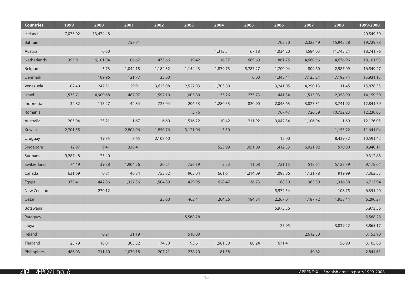| <b>Countries</b> | 1999     | 2000      | 2001     | 2002     | 2003     | 2004     | 2005     | 2006     | 2007     | 2008      | 1999-2008 |
|------------------|----------|-----------|----------|----------|----------|----------|----------|----------|----------|-----------|-----------|
| Iceland          | 7,075.02 | 13,474.48 |          |          |          |          |          |          |          |           | 20,549.50 |
| Bahrain          |          |           | 758.71   |          |          |          |          | 702.30   | 2,323.49 | 15,945.28 | 19,729.78 |
| Austria          |          | 0.60      |          |          |          | 1,312.51 | 67.18    | 1,034.20 | 4,584.03 | 11,743.24 | 18,741.76 |
| Netherlands      | 395.91   | 6,101.04  | 106.67   | 473.66   | 119.42   | 16.37    | 689.60   | 861.75   | 4,660.56 | 4,676.96  | 18,101.93 |
| Belgium          |          | 3.73      | 1,042.18 | 1,184.32 | 1,154.43 | 1,879.73 | 5,787.27 | 1,700.94 | 809.60   | 2,987.09  | 16,549.27 |
| Denmark          |          | 109.96    | 121.77   | 33.00    |          |          | 0.00     | 1,348.41 | 7,125.24 | 7,192.74  | 15,931.13 |
| Venezuela        | 102.40   | 247.51    | 29.91    | 3,625.08 | 2,527.03 | 1,703.80 |          | 3,241.05 | 4,290.13 | 111.45    | 15,878.35 |
| Israel           | 1,533.71 | 4,909.68  | 487.97   | 1,597.10 | 1,005.80 | 35.26    | 273.73   | 441.34   | 1,515.93 | 2,358.99  | 14,159.50 |
| Indonesia        | 32.82    | 115.27    | 42.84    | 725.04   | 206.53   | 1,280.53 | 820.90   | 2,048.63 | 3,827.31 | 3,741.92  | 12,841.79 |
| Romania          |          |           |          |          | 3.76     |          |          | 767.47   | 726.59   | 10,732.23 | 12,230.05 |
| Australia        | 205.04   | 23.21     | 1.67     | 6.60     | 1,516.22 | 10.42    | 211.92   | 9,042.34 | 1,106.94 | 1.69      | 12,126.05 |
| Kuwait           | 2,701.55 |           | 2,808.96 | 1,850.76 | 3,121.06 | 3.50     |          |          |          | 1,155.22  | 11,641.04 |
| Uruguay          |          | 19.85     | 8.65     | 2,108.60 |          |          |          | 15.00    |          | 8,439.32  | 10,591.42 |
| Singapore        | 12.97    | 9.41      | 338.41   |          |          | 523.99   | 1,051.09 | 1,412.33 | 6,021.92 | 570.00    | 9,940.11  |
| Surinam          | 9,287.48 | 25.40     |          |          |          |          |          |          |          |           | 9,312.88  |
| Switzerland      | 74.49    | 39.38     | 1,904.56 | 20.21    | 756.19   | 3.53     | 11.08    | 721.15   | 518.64   | 5,128.79  | 9,178.04  |
| Canada           | 631.69   | 0.81      | 46.84    | 753.82   | 903.04   | 661.61   | 1,214.09 | 1,098.86 | 1,131.78 | 919.99    | 7,362.53  |
| Egypt            | 373.41   | 442.86    | 1,327.36 | 1,504.89 | 429.95   | 628.47   | 136.73   | 168.30   | 385.59   | 1,316.38  | 6,713.94  |
| New Zeeland      |          | 270.12    |          |          |          |          |          | 5,972.54 |          | 108.75    | 6,351.40  |
| Qatar            |          |           |          | 25.60    | 462.41   | 204.26   | 184.84   | 2,267.01 | 1,187.72 | 1,958.44  | 6,290.27  |
| Botswana         |          |           |          |          |          |          |          | 5,973.56 |          |           | 5,973.56  |
| Paraguay         |          |           |          |          | 5,568.28 |          |          |          |          |           | 5,568.28  |
| Libya            |          |           |          |          |          |          |          | 25.95    |          | 3,839.22  | 3,865.17  |
| Ireland          |          | 0.21      | 31.19    |          | 510.00   |          |          |          | 2,612.50 |           | 3,153.90  |
| Thailand         | 23.79    | 18.81     | 305.32   | 174.50   | 93.61    | 1,581.30 | 80.24    | 671.41   |          | 156.90    | 3,105.88  |
| Philippines      | 486.03   | 711.80    | 1,070.18 | 207.21   | 238.20   | 81.38    |          |          | 49.82    |           | 2,844.61  |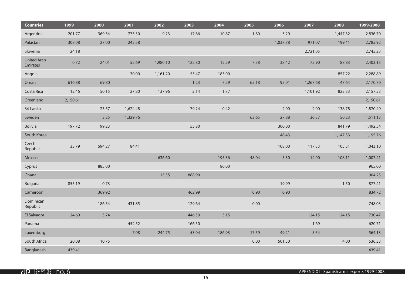| <b>Countries</b>               | 1999     | 2000   | 2001     | 2002     | 2003   | 2004   | 2005  | 2006     | 2007     | 2008     | 1999-2008 |
|--------------------------------|----------|--------|----------|----------|--------|--------|-------|----------|----------|----------|-----------|
| Argentina                      | 201.77   | 369.54 | 775.30   | 9.23     | 17.66  | 10.87  | 1.80  | 3.20     |          | 1,447.32 | 2,836.70  |
| Pakistan                       | 308.08   | 27.00  | 242.58   |          |        |        |       | 1,037.78 | 971.07   | 199.41   | 2,785.92  |
| Slovenia                       | 24.18    |        |          |          |        |        |       |          | 2,721.05 |          | 2,745.23  |
| <b>United Arab</b><br>Emirates | 0.72     | 24.01  | 52.69    | 1,980.10 | 122.80 | 12.29  | 7.38  | 38.42    | 75.90    | 88.83    | 2,403.13  |
| Angola                         |          |        | 30.00    | 1,161.20 | 55.47  | 185.00 |       |          |          | 857.22   | 2,288.89  |
| Oman                           | 616.88   | 69.80  |          |          | 1.23   | 7.29   | 65.18 | 95.01    | 1,267.68 | 47.64    | 2,170.70  |
| Costa Rica                     | 12.46    | 50.15  | 27.80    | 137.96   | 2.14   | 1.77   |       |          | 1,101.92 | 823.33   | 2,157.53  |
| Greenland                      | 2,150.61 |        |          |          |        |        |       |          |          |          | 2,150.61  |
| Sri Lanka                      |          | 23.57  | 1,624.48 |          | 79.24  | 0.42   |       | 2.00     | 2.00     | 138.78   | 1,870.49  |
| Sweden                         |          | 3.25   | 1,329.76 |          |        |        | 63.65 | 27.88    | 36.37    | 50.23    | 1,511.13  |
| Bolivia                        | 197.72   | 99.23  |          |          | 53.80  |        |       | 300.00   |          | 841.79   | 1,492.54  |
| South Korea                    |          |        |          |          |        |        |       | 48.43    |          | 1,147.33 | 1,195.76  |
| Czech<br>Republic              | 33.79    | 594.27 | 84.41    |          |        |        |       | 108.00   | 117.33   | 105.31   | 1,043.10  |
| Mexico                         |          |        |          | 636.60   |        | 195.36 | 48.04 | 5.30     | 14.00    | 108.11   | 1,007.41  |
| Cyprus                         |          | 885.00 |          |          |        | 80.00  |       |          |          |          | 965.00    |
| Ghana                          |          |        |          | 15.35    | 888.90 |        |       |          |          |          | 904.25    |
| <b>Bulgaria</b>                | 855.19   | 0.73   |          |          |        |        |       | 19.99    |          | 1.50     | 877.41    |
| Cameroon                       |          | 369.92 |          |          | 462.99 |        | 0.90  | 0.90     |          |          | 834.72    |
| Dominican<br>Republic          |          | 186.54 | 431.85   |          | 129.64 |        | 0.00  |          |          |          | 748.03    |
| El Salvador                    | 24.69    | 5.74   |          |          | 446.59 | 5.15   |       |          | 124.15   | 124.15   | 730.47    |
| Panama                         |          |        | 452.52   |          | 166.50 |        |       |          | 1.69     |          | 620.71    |
| Luxemburg                      |          |        | 7.08     | 244.75   | 53.04  | 186.93 | 17.59 | 49.21    | 5.54     |          | 564.13    |
| South Africa                   | 20.08    | 10.75  |          |          |        |        | 0.00  | 501.50   |          | 4.00     | 536.33    |
| Bangladesh                     | 439.41   |        |          |          |        |        |       |          |          |          | 439.41    |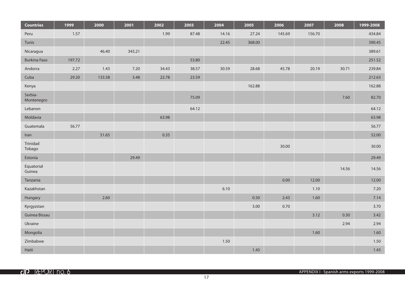| <b>Countries</b>      | 1999   | 2000   | 2001   | 2002  | 2003  | 2004  | 2005   | 2006   | 2007   | 2008  | 1999-2008 |
|-----------------------|--------|--------|--------|-------|-------|-------|--------|--------|--------|-------|-----------|
| Peru                  | 1.57   |        |        | 1.99  | 87.48 | 14.16 | 27.24  | 145.69 | 156.70 |       | 434.84    |
| Tunis                 |        |        |        |       |       | 22.45 | 368.00 |        |        |       | 390.45    |
| Nicaragua             |        | 46.40  | 343.21 |       |       |       |        |        |        |       | 389.61    |
| <b>Burkina Faso</b>   | 197.72 |        |        |       | 53.80 |       |        |        |        |       | 251.52    |
| Andorra               | 2.27   | 1.43   | 7.20   | 34.43 | 38.57 | 30.59 | 28.68  | 45.78  | 20.19  | 30.71 | 239.84    |
| Cuba                  | 29.20  | 133.58 | 3.48   | 22.78 | 23.59 |       |        |        |        |       | 212.63    |
| Kenya                 |        |        |        |       |       |       | 162.88 |        |        |       | 162.88    |
| Serbia-<br>Montenegro |        |        |        |       | 75.09 |       |        |        |        | 7.60  | 82.70     |
| Lebanon               |        |        |        |       | 64.12 |       |        |        |        |       | 64.12     |
| Moldavia              |        |        |        | 63.98 |       |       |        |        |        |       | 63.98     |
| Guatemala             | 56.77  |        |        |       |       |       |        |        |        |       | 56.77     |
| Iran                  |        | 51.65  |        | 0.35  |       |       |        |        |        |       | 52.00     |
| Trinidad<br>Tobago    |        |        |        |       |       |       |        | 30.00  |        |       | 30.00     |
| Estonia               |        |        | 29.49  |       |       |       |        |        |        |       | 29.49     |
| Equatorial<br>Guinea  |        |        |        |       |       |       |        |        |        | 14.56 | 14.56     |
| Tanzania              |        |        |        |       |       |       |        | 0.00   | 12.00  |       | 12.00     |
| Kazakhstan            |        |        |        |       |       | 6.10  |        |        | 1.10   |       | 7.20      |
| Hungary               |        | 2.60   |        |       |       |       | 0.50   | 2.43   | 1.60   |       | 7.14      |
| Kyrgyzstan            |        |        |        |       |       |       | 3.00   | 0.70   |        |       | 3.70      |
| Guinea Bissau         |        |        |        |       |       |       |        |        | 3.12   | 0.30  | 3.42      |
| Ukraine               |        |        |        |       |       |       |        |        |        | 2.94  | 2.94      |
| Mongolia              |        |        |        |       |       |       |        |        | 1.60   |       | 1.60      |
| Zimbabwe              |        |        |        |       |       | 1.50  |        |        |        |       | 1.50      |
| Haiti                 |        |        |        |       |       |       | 1.43   |        |        |       | 1.43      |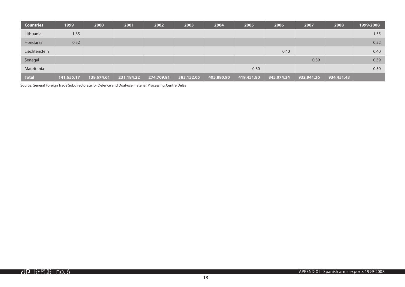| <b>Countries</b> | 1999       | 2000       | 2001       | 2002       | 2003       | 2004       | 2005       | 2006       | 2007       | 2008       | 1999-2008 |
|------------------|------------|------------|------------|------------|------------|------------|------------|------------|------------|------------|-----------|
| Lithuania        | 1.35       |            |            |            |            |            |            |            |            |            | 1.35      |
| Honduras         | 0.52       |            |            |            |            |            |            |            |            |            | 0.52      |
| Liechtenstein    |            |            |            |            |            |            |            | 0.40       |            |            | 0.40      |
| Senegal          |            |            |            |            |            |            |            |            | 0.39       |            | 0.39      |
| Mauritania       |            |            |            |            |            |            | 0.30       |            |            |            | 0.30      |
| <b>Total</b>     | 141,655.17 | 138,674.61 | 231,184.22 | 274,709.81 | 383,152.05 | 405,880.90 | 419,451.80 | 845,074.34 | 932,941.36 | 934,451.43 |           |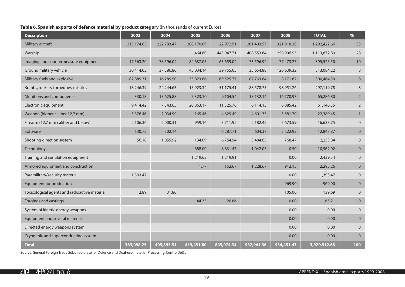# **Table 6. Spanish exports of defence material by product category** (in thousands of current Euros)

| <b>Description</b>                            | 2003       | 2004       | 2005       | 2006       | 2007       | 2008       | <b>TOTAL</b> | $\%$           |
|-----------------------------------------------|------------|------------|------------|------------|------------|------------|--------------|----------------|
| Military aircraft                             | 215,174.65 | 222,783.47 | 208,170.09 | 122,972.51 | 201,403.57 | 321,918.38 | 1,292,422.66 | 33             |
| Warship                                       |            |            | 464.60     | 445,947.71 | 408,553.64 | 258,906.95 | 1,113,872.89 | 28             |
| Imaging and countermeasure equipment          | 17,563.20  | 78,596.04  | 84,637.05  | 63,659.02  | 73,596.92  | 77,473.27  | 395,525.50   | 10             |
| Ground military vehicle                       | 30,414.03  | 37,586.80  | 43,034.14  | 39,755.05  | 35,654.88  | 126,639.32 | 313,084.22   | 8              |
| Military fuels and explosive                  | 82,889.31  | 16,289.90  | 35,823.86  | 69,525.77  | 87,763.84  | 8,171.62   | 300,464.30   | $\,8\,$        |
| Bombs, rockets, torpedoes, missiles           | 18,246.39  | 24,244.63  | 15,923.34  | 51,175.41  | 88,578.75  | 98,951.26  | 297,119.78   | 8              |
| Munitions and components                      | 330.18     | 13,625.88  | 7,323.10   | 9,104.54   | 18,132.14  | 16,770.97  | 65,286.80    | $\overline{2}$ |
| Electronic equipment                          | 9,414.42   | 7,343.65   | 20,863.17  | 11,325.76  | 6,114.13   | 6,085.42   | 61,146.55    | $\overline{2}$ |
| Weapon (higher caliber 12,7 mm)               | 5,376.46   | 2,034.99   | 165.46     | 4,629.49   | 4,601.35   | 5,581.70   | 22,389.45    | $\overline{1}$ |
| Firearm (12,7 mm caliber and below)           | 2,106.36   | 2,000.31   | 959.16     | 3,711.92   | 2,182.42   | 5,673.59   | 16,633.75    | $\mathbf{0}$   |
| Software                                      | 130.72     | 302.14     |            | 6,287.71   | 604.37     | 5,522.93   | 12,847.87    | $\mathbf 0$    |
| Shooting direction system                     | 56.18      | 1,055.92   | 134.09     | 6,754.54   | 3,484.65   | 768.47     | 12,253.84    | $\mathbf{0}$   |
| Technology                                    |            |            | 688.00     | 8,831.47   | 1,042.05   | 0.50       | 10,562.02    | $\overline{0}$ |
| Training and simulation equipment             |            |            | 1,219.62   | 1,219.91   |            | 0.00       | 2,439.54     | $\mathbf 0$    |
| Armored equipment and construction            |            |            | 1.77       | 152.67     | 1,228.67   | 912.15     | 2,295.26     | $\overline{0}$ |
| Paramilitary/security material                | 1,393.47   |            |            |            |            | 0.00       | 1,393.47     | $\mathbf 0$    |
| Equipment for production                      |            |            |            |            |            | 969.90     | 969.90       | $\mathbf{0}$   |
| Toxicological agents and radioactive material | 2.89       | 31.80      |            |            |            | 105.00     | 139.69       | $\mathbf{0}$   |
| Forgings and castings                         |            |            | 44.35      | 20.86      |            | 0.00       | 65.21        | $\pmb{0}$      |
| System of kinetic energy weapons              |            |            |            |            |            | 0.00       | 0.00         | $\mathbf{0}$   |
| Equipment and several materials               |            |            |            |            |            | 0.00       | 0.00         | $\overline{0}$ |
| Directed energy weapons system                |            |            |            |            |            | 0.00       | 0.00         | $\mathbf{0}$   |
| Cryogenic and superconducting system          |            |            |            |            |            | 0.00       | 0.00         | $\mathbf{0}$   |
| <b>Total</b>                                  | 383,098.25 | 405,895.51 | 419,451.80 | 845,074.34 | 932,941.36 | 934,451.43 | 3,920,912.68 | 100            |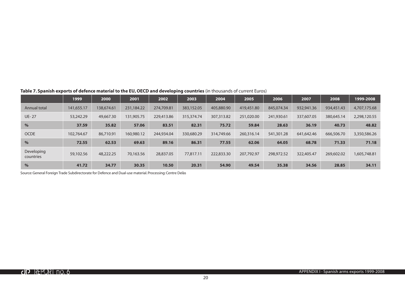|                         | 1999       | 2000       | 2001       | 2002       | 2003       | 2004       | 2005       | 2006       | 2007       | 2008       | 1999-2008    |
|-------------------------|------------|------------|------------|------------|------------|------------|------------|------------|------------|------------|--------------|
| Annual total            | 141,655.17 | 138,674.61 | 231,184.22 | 274,709.81 | 383,152.05 | 405,880.90 | 419,451.80 | 845,074.34 | 932,941.36 | 934,451.43 | 4,707,175.68 |
| <b>UE-27</b>            | 53,242.29  | 49,667.30  | 131,905.75 | 229,413.86 | 315,374.74 | 307,313.82 | 251,020.00 | 241,930.61 | 337,607.05 | 380,645.14 | 2,298,120.55 |
| $\%$                    | 37.59      | 35.82      | 57.06      | 83.51      | 82.31      | 75.72      | 59.84      | 28.63      | 36.19      | 40.73      | 48.82        |
| <b>OCDE</b>             | 102.764.67 | 86,710.91  | 160,980.12 | 244,934.04 | 330,680.29 | 314,749.66 | 260,316.14 | 541,301.28 | 641,642.46 | 666,506.70 | 3,350,586.26 |
| $\%$                    | 72.55      | 62.53      | 69.63      | 89.16      | 86.31      | 77.55      | 62.06      | 64.05      | 68.78      | 71.33      | 71.18        |
| Developing<br>countries | 59,102.56  | 48,222,25  | 70,163.56  | 28,837.05  | 77,817.11  | 222,833.30 | 207.792.97 | 298,972.52 | 322,405.47 | 269,602.02 | 1,605,748.81 |
| $\%$                    | 41.72      | 34.77      | 30.35      | 10.50      | 20.31      | 54.90      | 49.54      | 35.38      | 34.56      | 28.85      | 34.11        |

**Table 7. Spanish exports of defence material to the EU, OECD and developing countries** (in thousands of current Euros)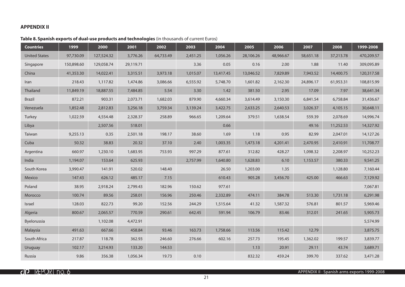# **APPENDIX II**

# **Table 8. Spanish exports of dual-use products and technologies** (in thousands of current Euros)

| <b>Countries</b>     | 1999       | 2000       | 2001      | 2002      | 2003     | 2004      | 2005      | 2006      | 2007      | 2008      | 1999-2008  |
|----------------------|------------|------------|-----------|-----------|----------|-----------|-----------|-----------|-----------|-----------|------------|
| <b>United States</b> | 97,730.09  | 127,524.32 | 3,776.26  | 64,733.49 | 2,451.25 | 1,056.26  | 28,106.26 | 48,966.67 | 58,651.18 | 37,213.78 | 470,209.57 |
| Singapore            | 150,898.60 | 129,058.74 | 29,119.71 |           | 3.36     | 0.05      | 0.16      | 2.00      | 1.88      | 11.40     | 309,095.89 |
| China                | 41,353.30  | 14,022.41  | 3,315.51  | 3,973.18  | 1,015.07 | 13,417.45 | 13,046.52 | 7,829.89  | 7,943.52  | 14,400.75 | 120,317.58 |
| Iran                 | 218.43     | 1,117.82   | 1,474.86  | 3,086.66  | 6,555.92 | 5,748.70  | 1,601.82  | 2,162.30  | 24,896.17 | 61,953.31 | 108,815.99 |
| Thailand             | 11,849.19  | 18,887.55  | 7,484.85  | 5.54      | 3.30     | 1.42      | 381.50    | 2.95      | 17.09     | 7.97      | 38,641.34  |
| <b>Brazil</b>        | 872.21     | 903.31     | 2,073.71  | 1,682.03  | 879.90   | 4,660.34  | 3,614.49  | 3,150.30  | 6,841.54  | 6,758.84  | 31,436.67  |
| Venezuela            | 1,852.48   | 2,812.83   | 3,256.18  | 3,759.34  | 3,139.24 | 3,422.75  | 2,633.25  | 2,640.53  | 3,026.37  | 4,105.15  | 30,648.11  |
| Turkey               | 1,022.59   | 4,554.48   | 2,328.37  | 258.89    | 966.65   | 1,209.64  | 379.51    | 1,638.54  | 559.39    | 2,078.69  | 14,996.74  |
| Libya                |            | 2,507.56   | 518.01    |           |          | 0.66      |           |           | 49.16     | 11,252.53 | 14,327.92  |
| Taiwan               | 9,255.13   | 0.35       | 2,501.18  | 198.17    | 38.60    | 1.69      | 1.18      | 0.95      | 82.99     | 2,047.01  | 14,127.26  |
| Cuba                 | 50.32      | 38.83      | 20.32     | 37.10     | 2.40     | 1,003.35  | 1,473.18  | 4,201.41  | 2,470.95  | 2,410.91  | 11,708.77  |
| Argentina            | 660.97     | 1,230.10   | 1,683.95  | 753.93    | 997.29   | 877.61    | 312.82    | 428.27    | 1,098.32  | 2,208.97  | 10,252.23  |
| India                | 1,194.07   | 153.64     | 625.93    |           | 2,757.99 | 1,640.80  | 1,628.83  | 6.10      | 1,153.57  | 380.33    | 9,541.25   |
| South Korea          | 3,990.47   | 141.91     | 520.02    | 148.40    |          | 26.50     | 1,203.00  | 1.35      |           | 1,128.80  | 7,160.44   |
| Mexico               | 147.43     | 626.12     | 485.17    | 7.15      |          | 610.43    | 905.28    | 3,456.70  | 425.00    | 466.63    | 7,129.92   |
| Poland               | 38.95      | 2,918.24   | 2,799.43  | 182.96    | 150.62   | 977.61    |           |           |           |           | 7,067.81   |
| Morocco              | 100.74     | 89.56      | 258.01    | 156.96    | 250.46   | 2,332.89  | 474.11    | 384.78    | 513.30    | 1,731.18  | 6,291.98   |
| Israel               | 128.03     | 822.73     | 99.20     | 152.56    | 244.29   | 1,515.64  | 41.32     | 1,587.32  | 576.81    | 801.57    | 5,969.46   |
| Algeria              | 800.67     | 2,065.57   | 770.59    | 290.61    | 642.45   | 591.94    | 106.79    | 83.46     | 312.01    | 241.65    | 5,905.73   |
| Byelorussia          |            | 1,102.08   | 4,472.91  |           |          |           |           |           |           |           | 5,574.99   |
| Malaysia             | 491.63     | 667.66     | 458.84    | 93.46     | 163.73   | 1,758.66  | 113.56    | 115.42    | 12.79     |           | 3,875.75   |
| South Africa         | 217.87     | 118.78     | 362.93    | 246.60    | 276.66   | 602.16    | 257.73    | 195.45    | 1,362.02  | 199.57    | 3,839.77   |
| <b>Uruguay</b>       | 102.17     | 3,214.93   | 133.20    | 144.53    |          |           | 1.13      | 20.91     | 29.11     | 43.74     | 3,689.71   |
| Russia               | 9.86       | 356.38     | 1,056.34  | 19.73     | 0.10     |           | 832.32    | 459.24    | 399.70    | 337.62    | 3,471.28   |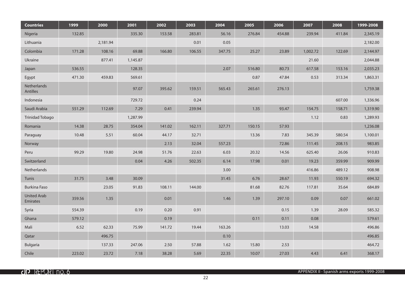| <b>Countries</b>               | 1999   | 2000     | 2001     | 2002   | 2003   | 2004   | 2005   | 2006   | 2007     | 2008   | 1999-2008 |
|--------------------------------|--------|----------|----------|--------|--------|--------|--------|--------|----------|--------|-----------|
| Nigeria                        | 132.85 |          | 335.30   | 153.58 | 283.81 | 56.16  | 276.84 | 454.88 | 239.94   | 411.84 | 2,345.19  |
| Lithuania                      |        | 2,181.94 |          |        | 0.01   | 0.05   |        |        |          |        | 2,182.00  |
| Colombia                       | 171.28 | 108.16   | 69.88    | 166.80 | 106.55 | 347.75 | 25.27  | 23.89  | 1,002.72 | 122.69 | 2,144.97  |
| Ukraine                        |        | 877.41   | 1,145.87 |        |        |        |        |        | 21.60    |        | 2,044.88  |
| Japan                          | 536.55 |          | 128.35   |        |        | 2.07   | 516.80 | 80.73  | 617.58   | 153.16 | 2,035.23  |
| Egypt                          | 471.30 | 459.83   | 569.61   |        |        |        | 0.87   | 47.84  | 0.53     | 313.34 | 1,863.31  |
| Netherlands<br>Antilles        |        |          | 97.07    | 395.62 | 159.51 | 565.43 | 265.61 | 276.13 |          |        | 1,759.38  |
| Indonesia                      |        |          | 729.72   |        | 0.24   |        |        |        |          | 607.00 | 1,336.96  |
| Saudi Arabia                   | 551.29 | 112.69   | 7.29     | 0.41   | 239.94 |        | 1.35   | 93.47  | 154.75   | 158.71 | 1,319.90  |
| Trinidad Tobago                |        |          | 1,287.99 |        |        |        |        |        | 1.12     | 0.83   | 1,289.93  |
| Romania                        | 14.38  | 28.75    | 354.04   | 141.02 | 162.11 | 327.71 | 150.15 | 57.93  |          |        | 1,236.08  |
| Paraguay                       | 10.48  | 5.51     | 60.04    | 44.17  | 32.71  |        | 13.36  | 7.83   | 345.39   | 580.54 | 1,100.01  |
| Norway                         |        |          |          | 2.13   | 32.04  | 557.23 |        | 72.86  | 111.45   | 208.15 | 983.85    |
| Peru                           | 99.29  | 19.80    | 24.98    | 51.76  | 22.63  | 6.03   | 20.32  | 14.56  | 625.40   | 26.06  | 910.83    |
| Switzerland                    |        |          | 0.04     | 4.26   | 502.35 | 6.14   | 17.98  | 0.01   | 19.23    | 359.99 | 909.99    |
| Netherlands                    |        |          |          |        |        | 3.00   |        |        | 416.86   | 489.12 | 908.98    |
| Tunis                          | 31.75  | 3.48     | 30.09    |        |        | 31.45  | 6.76   | 28.67  | 11.93    | 550.19 | 694.32    |
| <b>Burkina Faso</b>            |        | 23.05    | 91.83    | 108.11 | 144.00 |        | 81.68  | 82.76  | 117.81   | 35.64  | 684.89    |
| <b>United Arab</b><br>Emirates | 359.56 | 1.35     |          | 0.01   |        | 1.46   | 1.39   | 297.10 | 0.09     | 0.07   | 661.02    |
| Syria                          | 554.39 |          | 0.19     | 0.20   | 0.91   |        |        | 0.15   | 1.39     | 28.09  | 585.32    |
| Ghana                          | 579.12 |          |          | 0.19   |        |        | 0.11   | 0.11   | 0.08     |        | 579.61    |
| Mali                           | 6.52   | 62.33    | 75.99    | 141.72 | 19.44  | 163.26 |        | 13.03  | 14.58    |        | 496.86    |
| Qatar                          |        | 496.75   |          |        |        | 0.10   |        |        |          |        | 496.85    |
| <b>Bulgaria</b>                |        | 137.33   | 247.06   | 2.50   | 57.88  | 1.62   | 15.80  | 2.53   |          |        | 464.72    |
| Chile                          | 223.02 | 23.72    | 7.18     | 38.28  | 5.69   | 22.35  | 10.07  | 27.03  | 4.43     | 6.41   | 368.17    |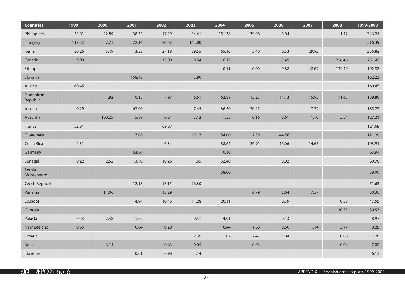| <b>Countries</b>       | 1999   | 2000   | 2001   | 2002  | 2003   | 2004   | 2005  | 2006  | 2007  | 2008   | 1999-2008 |
|------------------------|--------|--------|--------|-------|--------|--------|-------|-------|-------|--------|-----------|
| Philippines            | 32.81  | 22.89  | 38.32  | 17.29 | 34.41  | 151.38 | 39.98 | 8.04  |       | 1.12   | 346.24    |
| Hungary                | 117.22 | 7.21   | 22.14  | 26.02 | 143.80 |        |       |       |       |        | 316.39    |
| Kenia                  | 30.26  | 5.49   | 3.33   | 27.18 | 89.55  | 65.16  | 5.40  | 0.53  | 29.92 |        | 256.82    |
| Canada                 | 9.98   |        |        | 13.09 | 0.34   | 6.18   |       | 5.45  |       | 216.46 | 251.49    |
| Ethiopia               |        |        |        |       |        | 0.11   | 0.09  | 9.88  | 48.62 | 134.19 | 192.88    |
| Slovakia               |        |        | 158.43 |       | 3.80   |        |       |       |       |        | 162.23    |
| Austria                | 160.45 |        |        |       |        |        |       |       |       |        | 160.45    |
| Dominican<br>Republic  |        | 4.92   | 0.15   | 7.97  | 6.61   | 62.89  | 15.23 | 14.43 | 15.95 | 11.65  | 139.80    |
| Jordan                 | 0.29   |        | 63.00  |       | 7.45   | 36.50  | 20.25 |       | 7.72  |        | 135.22    |
| Australia              |        | 100.25 | 5.89   | 0.61  | 5.12   | 1.55   | 0.16  | 8.61  | 1.70  | 3.34   | 127.21    |
| France                 | 52.61  |        |        | 69.07 |        |        |       |       |       |        | 121.68    |
| Guatemala              |        |        | 7.08   |       | 13.17  | 54.00  | 2.39  | 44.56 |       |        | 121.20    |
| Costa Rica             | 2.31   |        |        | 6.34  |        | 38.64  | 26.91 | 15.06 | 14.65 |        | 103.91    |
| Germany                |        |        | 63.84  |       |        | 0.10   |       |       |       |        | 63.94     |
| Senegal                | 0.22   | 2.52   | 13.70  | 10.26 | 1.65   | 32.40  |       | 0.02  |       |        | 60.76     |
| Serbia -<br>Montenegro |        |        |        |       |        | 58.00  |       |       |       |        | 58.00     |
| Czech Republic         |        |        | 12.18  | 13.15 | 26.30  |        |       |       |       |        | 51.63     |
| Panama                 |        | 14.06  |        | 13.29 |        |        | 6.79  | 8.64  | 7.57  |        | 50.36     |
| Ecuador                |        |        | 4.94   | 10.46 | 11.28  | 20.11  |       | 0.39  |       | 0.38   | 47.55     |
| Georgia                |        |        |        |       |        |        |       |       |       | 30.53  | 30.53     |
| Pakistan               | 0.23   | 2.48   | 1.62   |       | 0.51   | 4.01   |       | 0.13  |       |        | 8.97      |
| New Zeeland            | 0.35   |        | 0.04   | 0.20  |        | 0.44   | 1.68  | 0.66  | 1.14  | 3.77   | 8.28      |
| Croatia                |        |        |        |       | 2.39   | 1.02   | 2.45  | 1.04  |       | 0.88   | 7.78      |
| <b>Bolivia</b>         |        | 6.14   |        | 0.83  | 0.05   |        | 0.03  |       |       | 0.04   | 7.09      |
| Slovenia               |        |        | 0.01   | 0.98  | 5.14   |        |       |       |       |        | 6.13      |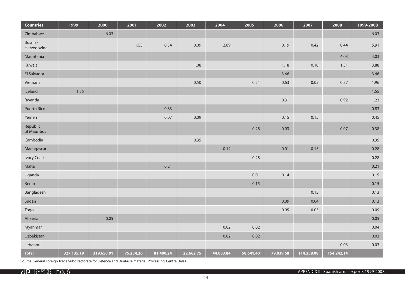| <b>Countries</b>         | 1999       | 2000       | 2001      | 2002      | 2003      | 2004      | 2005      | 2006      | 2007       | 2008       | 1999-2008 |
|--------------------------|------------|------------|-----------|-----------|-----------|-----------|-----------|-----------|------------|------------|-----------|
| Zimbabwe                 |            | 6.03       |           |           |           |           |           |           |            |            | 6.03      |
| Bosnia-<br>Herzegovina   |            |            | 1.53      | 0.34      | 0.09      | 2.89      |           | 0.19      | 0.42       | 0.44       | 5.91      |
| Mauritania               |            |            |           |           |           |           |           |           |            | 4.03       | 4.03      |
| Kuwait                   |            |            |           |           | 1.08      |           |           | 1.18      | 0.10       | 1.51       | 3.88      |
| El Salvador              |            |            |           |           |           |           |           | 3.46      |            |            | 3.46      |
| Vietnam                  |            |            |           |           | 0.50      |           | 0.21      | 0.63      | 0.05       | 0.57       | 1.96      |
| Iceland                  | 1.55       |            |           |           |           |           |           |           |            |            | 1.55      |
| Rwanda                   |            |            |           |           |           |           |           | 0.31      |            | 0.92       | 1.23      |
| <b>Puerto Rico</b>       |            |            |           | 0.83      |           |           |           |           |            |            | 0.83      |
| Yemen                    |            |            |           | 0.07      | 0.09      |           |           | 0.15      | 0.15       |            | 0.45      |
| Republic<br>of Mauritius |            |            |           |           |           |           | 0.28      | 0.03      |            | 0.07       | 0.38      |
| Cambodia                 |            |            |           |           | 0.35      |           |           |           |            |            | 0.35      |
| Madagascar               |            |            |           |           |           | 0.12      |           | 0.01      | 0.15       |            | 0.28      |
| <b>Ivory Coast</b>       |            |            |           |           |           |           | 0.28      |           |            |            | 0.28      |
| Malta                    |            |            |           | 0.21      |           |           |           |           |            |            | 0.21      |
| Uganda                   |            |            |           |           |           |           | 0.01      | 0.14      |            |            | 0.15      |
| Benin                    |            |            |           |           |           |           | 0.15      |           |            |            | 0.15      |
| Bangladesh               |            |            |           |           |           |           |           |           | 0.13       |            | 0.13      |
| Sudan                    |            |            |           |           |           |           |           | 0.09      | 0.04       |            | 0.13      |
| Togo                     |            |            |           |           |           |           |           | 0.05      | 0.05       |            | 0.09      |
| Albania                  |            | 0.05       |           |           |           |           |           |           |            |            | 0.05      |
| Myanmar                  |            |            |           |           |           | 0.02      | 0.02      |           |            |            | 0.04      |
| Uzbekistan               |            |            |           |           |           | 0.02      | 0.02      |           |            |            | 0.03      |
| Lebanon                  |            |            |           |           |           |           |           |           |            | 0.03       | 0.03      |
| <b>Total</b>             | 327.135,19 | 319.650,01 | 75.254,20 | 81.400,24 | 22.662,75 | 44.083,84 | 58.641,40 | 79.039,68 | 114.258,08 | 154.242,14 |           |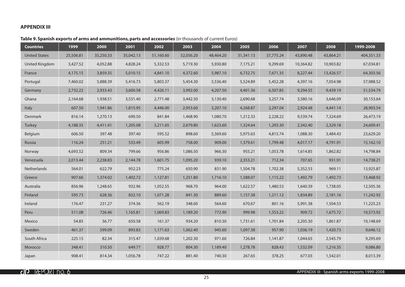# **APPENDIX III**

# **Table 9. Spanish exports of arms and ammunitions, parts and accessories** (in thousands of current Euros)

| <b>Countries</b>      | 1999      | 2000      | 2001      | 2002      | 2003      | 2004      | 2005      | 2006      | 2007      | 2008      | 1999-2008  |
|-----------------------|-----------|-----------|-----------|-----------|-----------|-----------|-----------|-----------|-----------|-----------|------------|
| <b>United States</b>  | 25,506.81 | 35,250.33 | 35,042.13 | 51,160.60 | 52,056.20 | 48,464.20 | 31,341.13 | 37,775.24 | 43,890.48 | 43,864.21 | 404,351.33 |
| <b>United Kingdom</b> | 3,427.52  | 4,052.88  | 4,828.24  | 5,332.53  | 5,719.30  | 5,930.80  | 7,175.21  | 9,299.69  | 10,364.82 | 10,903.82 | 67,034.81  |
| France                | 4,175.15  | 3,859.35  | 5,010.15  | 4,841.10  | 4,372.60  | 5,987.10  | 6,732.75  | 7,671.35  | 8,227.44  | 13,426.57 | 64,303.56  |
| Portugal              | 7,460.02  | 5,888.39  | 5,416.73  | 5,803.37  | 5,454.30  | 5,536.40  | 5,524.89  | 5,452.28  | 4,397.16  | 7,054.98  | 57,988.52  |
| Germany               | 2,732.22  | 2,933.43  | 3,600.58  | 4,426.11  | 3,992.00  | 4,207.50  | 4,401.36  | 6,507.85  | 9,294.55  | 9,439.19  | 51,534.79  |
| Ghana                 | 2,164.68  | 1,938.51  | 3,531.40  | 2,771.48  | 3,442.50  | 3,130.40  | 2,690.68  | 3,257.74  | 3,580.16  | 3,646.09  | 30,153.64  |
| Italy                 | 607.50    | 1,941.86  | 1,815.95  | 4,446.00  | 2,953.60  | 3,207.10  | 4,268.87  | 2,297.04  | 2,924.48  | 4,441.14  | 28,903.54  |
| Denmark               | 816.14    | 1,270.13  | 690.50    | 841.84    | 1,468.90  | 1,080.70  | 1,212.33  | 2,228.22  | 9,539.74  | 7,324.69  | 26,473.19  |
| Turkey                | 4,188.35  | 4,411.41  | 1,205.08  | 3,211.65  | 2,679.80  | 1,623.60  | 1,324.64  | 1,293.30  | 2,342.40  | 2,329.18  | 24,609.41  |
| Belgium               | 606.50    | 397.48    | 397.40    | 595.52    | 898.60    | 5,369.60  | 5,975.63  | 4,815.74  | 1,088.30  | 3,484.43  | 23,629.20  |
| Russia                | 116.24    | 251.21    | 533.49    | 605.99    | 758.00    | 909.00    | 1,379.61  | 1,799.48  | 4,017.17  | 4,791.91  | 15,162.10  |
| Norway                | 4,693.52  | 809.34    | 799.66    | 956.86    | 1,086.50  | 966.30    | 955.21    | 1,053.78  | 1,614.85  | 1,862.82  | 14,798.84  |
| Venezuela             | 2,013.44  | 2,238.83  | 2,144.78  | 1,601.75  | 1,095.20  | 939.10    | 2,353.21  | 712.34    | 707.65    | 931.91    | 14,738.21  |
| Netherlands           | 564.01    | 622.79    | 952.23    | 775.24    | 650.90    | 831.90    | 1,504.78  | 1,702.38  | 5,352.53  | 969.11    | 13,925.87  |
| Greece                | 907.66    | 1,374.02  | 1,402.72  | 1,127.81  | 1,251.80  | 1,716.10  | 1,588.07  | 1,115.22  | 1,492.79  | 1,492.73  | 13,468.92  |
| Australia             | 856.96    | 1,248.65  | 932.96    | 1,052.55  | 968.70    | 964.00    | 1,622.57  | 1,480.53  | 1,640.39  | 1,738.05  | 12,505.36  |
| Finland               | 595.73    | 628.36    | 832.10    | 1,071.28  | 841.30    | 889.60    | 1,157.38  | 1,211.12  | 1,834.89  | 2,181.16  | 11,242.92  |
| Ireland               | 176.47    | 231.27    | 374.36    | 562.19    | 348.60    | 564.60    | 670.67    | 801.16    | 5,991.38  | 1,504.53  | 11,225.23  |
| Peru                  | 511.08    | 726.46    | 1,165.81  | 1,069.83  | 1,189.20  | 772.90    | 999.98    | 1,553.22  | 909.72    | 1,675.72  | 10,573.92  |
| Mexico                | 54.85     | 36.77     | 650.58    | 161.37    | 934.20    | 810.30    | 1,731.61  | 1,701.84  | 2,205.30  | 1,861.87  | 10,148.69  |
| Sweden                | 461.37    | 599.09    | 893.83    | 1,171.63  | 1,062.40  | 945.60    | 1,097.38  | 957.90    | 1,036.19  | 1,420.73  | 9,646.12   |
| South Africa          | 225.15    | 82.34     | 315.47    | 1,039.68  | 1,202.30  | 971.60    | 726.84    | 1,141.87  | 1,044.65  | 2,545.79  | 9,295.69   |
| Morocco               | 348.41    | 310.50    | 649.77    | 928.77    | 804.30    | 1,189.40  | 1,278.78  | 828.43    | 1,532.09  | 1,216.35  | 9,086.80   |
| Japan                 | 908.41    | 814.34    | 1,056.78  | 747.22    | 881.40    | 740.30    | 267.65    | 378.25    | 677.03    | 1,542.01  | 8,013.39   |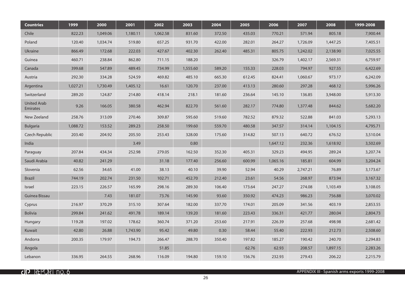| <b>Countries</b>               | 1999     | 2000     | 2001     | 2002     | 2003     | 2004   | 2005   | 2006     | 2007     | 2008     | 1999-2008 |
|--------------------------------|----------|----------|----------|----------|----------|--------|--------|----------|----------|----------|-----------|
| Chile                          | 822.23   | 1,049.06 | 1,180.11 | 1,062.58 | 831.60   | 372.50 | 435.03 | 770.21   | 571.94   | 805.18   | 7,900.44  |
| Poland                         | 120.40   | 1,034.74 | 519.80   | 657.25   | 931.70   | 422.00 | 282.01 | 264.27   | 1,726.09 | 1,447.25 | 7,405.51  |
| Ukraine                        | 866.49   | 172.68   | 222.03   | 427.67   | 402.30   | 262.40 | 485.31 | 805.75   | 1,242.02 | 2,138.90 | 7,025.55  |
| Guinea                         | 460.71   | 238.84   | 862.80   | 711.15   | 188.20   |        |        | 326.79   | 1,402.17 | 2,569.31 | 6,759.97  |
| Canada                         | 399.68   | 547.89   | 489.45   | 734.99   | 1,555.60 | 589.20 | 155.33 | 228.03   | 794.97   | 927.55   | 6,422.69  |
| Austria                        | 292.30   | 334.28   | 524.59   | 469.82   | 485.10   | 665.30 | 612.45 | 824.41   | 1,060.67 | 973.17   | 6,242.09  |
| Argentina                      | 1,027.21 | 1,730.49 | 1,405.12 | 16.61    | 120.70   | 237.00 | 413.13 | 280.60   | 297.28   | 468.12   | 5,996.26  |
| Switzerland                    | 289.20   | 124.87   | 214.80   | 418.14   | 218.1    | 181.60 | 236.64 | 145.10   | 136.85   | 3,948.00 | 5,913.30  |
| <b>United Arab</b><br>Emirates | 9.26     | 166.05   | 380.58   | 462.94   | 822.70   | 561.60 | 282.17 | 774.80   | 1,377.48 | 844.62   | 5,682.20  |
| New Zeeland                    | 258.76   | 313.09   | 270.46   | 309.87   | 595.60   | 519.60 | 782.52 | 879.32   | 522.88   | 841.03   | 5,293.13  |
| <b>Bulgaria</b>                | 1,088.72 | 153.52   | 289.23   | 258.50   | 199.60   | 559.70 | 480.58 | 347.57   | 314.14   | 1,104.15 | 4,795.71  |
| Czech Republic                 | 203.40   | 204.92   | 205.50   | 253.43   | 328.00   | 175.60 | 314.82 | 507.13   | 640.72   | 676.52   | 3,510.04  |
| India                          |          |          | 3.49     |          | 0.80     |        |        | 1,647.12 | 232.36   | 1,618.92 | 3,502.69  |
| Paraguay                       | 207.84   | 434.34   | 252.98   | 279.05   | 162.50   | 352.30 | 405.31 | 329.23   | 494.95   | 289.24   | 3,207.74  |
| Saudi Arabia                   | 40.82    | 241.29   |          | 31.18    | 177.40   | 256.60 | 600.99 | 1,065.16 | 185.81   | 604.99   | 3,204.24  |
| Slovenia                       | 62.56    | 34.65    | 41.00    | 38.13    | 40.10    | 39.90  | 52.94  | 40.29    | 2,747.21 | 76.89    | 3,173.67  |
| <b>Brazil</b>                  | 744.19   | 202.74   | 231.50   | 102.71   | 452.70   | 212.40 | 23.61  | 54.56    | 268.97   | 873.94   | 3,167.32  |
| Israel                         | 223.15   | 226.57   | 165.99   | 298.16   | 289.30   | 106.40 | 173.64 | 247.27   | 274.08   | 1,103.49 | 3,108.05  |
| Guinea Bissau                  |          | 7.43     | 181.07   | 73.76    | 145.90   | 93.60  | 350.92 | 474.23   | 986.23   | 756.88   | 3,070.02  |
| Cyprus                         | 216.97   | 370.29   | 315.10   | 307.64   | 182.00   | 337.70 | 174.01 | 205.09   | 341.56   | 403.19   | 2,853.55  |
| Bolivia                        | 299.84   | 241.62   | 491.78   | 189.14   | 139.20   | 181.60 | 223.43 | 336.31   | 421.77   | 280.04   | 2,804.73  |
| Hungary                        | 119.28   | 197.02   | 178.62   | 360.74   | 371.20   | 253.60 | 217.91 | 226.39   | 257.68   | 498.98   | 2,681.42  |
| Kuwait                         | 42.80    | 26.88    | 1,743.90 | 95.42    | 49.80    | 0.30   | 58.44  | 55.40    | 222.93   | 212.73   | 2,508.60  |
| Andorra                        | 200.35   | 179.97   | 194.73   | 266.47   | 288.70   | 350.40 | 197.82 | 185.27   | 190.42   | 240.70   | 2,294.83  |
| Angola                         |          |          |          | 51.85    |          |        | 62.76  | 62.93    | 208.57   | 1,897.15 | 2,283.26  |
| Lebanon                        | 336.95   | 264.55   | 268.96   | 116.09   | 194.80   | 159.10 | 156.76 | 232.93   | 279.43   | 206.22   | 2,215.79  |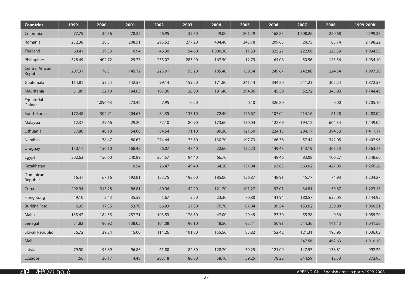| <b>Countries</b>                   | 1999   | 2000     | 2001   | 2002   | 2003   | 2004     | 2005   | 2006   | 2007     | 2008   | 1999-2008 |
|------------------------------------|--------|----------|--------|--------|--------|----------|--------|--------|----------|--------|-----------|
| Colombia                           | 77.79  | 32.36    | 78.25  | 26.95  | 35.70  | 49.00    | 201.49 | 168.85 | 1,308.26 | 220.68 | 2,199.33  |
| Romania                            | 232.38 | 138.31   | 208.51 | 295.52 | 277.20 | 404.40   | 343.78 | 209.65 | 24.73    | 63.74  | 2,198.22  |
| Thailand                           | 60.41  | 39.33    | 10.94  | 46.30  | 54.60  | 1,000.30 | 11.33  | 325.27 | 222.66   | 223.39 | 1,994.53  |
| Philippines                        | 528.69 | 402.72   | 25.23  | 255.07 | 283.90 | 167.50   | 12.79  | 64.08  | 50.56    | 143.56 | 1,934.10  |
| <b>Central African</b><br>Republic | 207.31 | 176.31   | 145.72 | 223.01 | 93.20  | 185.40   | 159.54 | 249.67 | 242.88   | 224.34 | 1,907.38  |
| Guatemala                          | 114.81 | 53.24    | 142.57 | 99.14  | 159.20 | 171.80   | 241.14 | 344.20 | 241.23   | 305.24 | 1,872.57  |
| Mauritania                         | 51.89  | 52.10    | 194.63 | 187.36 | 128.00 | 191.40   | 394.86 | 145.59 | 52.72    | 345.93 | 1,744.48  |
| Equatorial<br>Guinea               |        | 1,096.63 | 273.42 | 7.95   | 0.20   |          | 0.10   | 326.80 |          | 0.00   | 1,705.10  |
| South Korea                        | 172.48 | 302.91   | 204.63 | 84.35  | 137.10 | 72.40    | 126.67 | 107.04 | 214.16   | 61.28  | 1,483.02  |
| Malaysia                           | 12.37  | 29.66    | 29.20  | 72.10  | 80.90  | 173.60   | 130.04 | 122.69 | 194.12   | 604.34 | 1,449.02  |
| Lithuania                          | 37.80  | 40.18    | 54.00  | 84.54  | 71.10  | 99.30    | 121.60 | 224.15 | 284.17   | 394.33 | 1,411.17  |
| Namibia                            |        | 78.47    | 80.67  | 274.44 | 75.60  | 130.20   | 197.73 | 166.36 | 57.44    | 342.05 | 1,402.96  |
| Uruguay                            | 150.17 | 156.10   | 168.45 | 26.07  | 47.40  | 22.60    | 132.23 | 149.43 | 143.19   | 367.53 | 1,363.17  |
| Egypt                              | 302.63 | 150.60   | 240.89 | 254.57 | 94.40  | 66.70    |        | 49.46  | 83.08    | 106.27 | 1,348.60  |
| Kazakhstan                         |        |          | 10.54  | 26.47  | 49.40  | 64.20    | 131.94 | 193.63 | 363.02   | 427.06 | 1,266.26  |
| Dominican<br>Republic              | 16.47  | 67.16    | 192.81 | 153.75 | 192.60 | 185.00   | 156.87 | 148.91 | 45.77    | 74.93  | 1,234.27  |
| Cuba                               | 292.94 | 313.28   | 86.81  | 80.96  | 42.20  | 121.20   | 101.27 | 97.01  | 36.81    | 50.67  | 1,223.15  |
| Hong Kong                          | 49.10  | 3.43     | 35.59  | 1.67   | 3.50   | 23.30    | 70.80  | 141.94 | 180.57   | 635.05 | 1,144.95  |
| <b>Burkina Faso</b>                | 6.95   | 117.35   | 53.70  | 66.83  | 127.80 | 76.70    | 87.04  | 139.54 | 153.62   | 230.98 | 1,060.51  |
| Malta                              | 135.42 | 184.35   | 257.71 | 193.53 | 128.60 | 47.00    | 29.45  | 23.30  | 55.28    | 0.56   | 1,055.20  |
| Senegal                            | 31.82  | 90.92    | 138.05 | 104.08 | 96.10  | 48.50    | 95.41  | 50.91  | 244.36   | 141.43 | 1,041.58  |
| Slovak Republic                    | 56.72  | 39.24    | 15.00  | 114.26 | 101.80 | 155.50   | 83.82  | 152.42 | 121.31   | 195.95 | 1,036.02  |
| Mali                               |        |          |        |        |        |          |        |        | 547.56   | 462.63 | 1,010.19  |
| Latvia                             | 79.50  | 95.89    | 96.85  | 61.80  | 82.80  | 128.70   | 39.25  | 121.09 | 147.57   | 138.81 | 992.26    |
| Ecuador                            | 1.66   | 30.17    | 4.48   | 203.18 | 80.80  | 58.10    | 59.25  | 178.22 | 244.59   | 12.50  | 872.95    |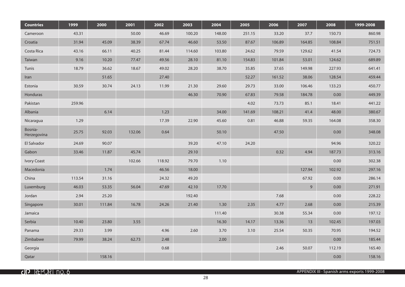| <b>Countries</b>       | 1999   | 2000   | 2001   | 2002   | 2003   | 2004   | 2005   | 2006   | 2007   | 2008   | 1999-2008 |
|------------------------|--------|--------|--------|--------|--------|--------|--------|--------|--------|--------|-----------|
| Cameroon               | 43.31  |        | 50.00  | 46.69  | 100.20 | 148.00 | 251.15 | 33.20  | 37.7   | 150.73 | 860.98    |
| Croatia                | 31.94  | 45.09  | 38.39  | 67.74  | 46.60  | 53.50  | 87.67  | 106.89 | 164.85 | 108.84 | 751.51    |
| Costa Rica             | 43.16  | 66.11  | 40.25  | 81.44  | 114.60 | 103.80 | 24.62  | 79.59  | 129.62 | 41.54  | 724.73    |
| Taiwan                 | 9.16   | 10.20  | 77.47  | 49.56  | 28.10  | 81.10  | 154.83 | 101.84 | 53.01  | 124.62 | 689.89    |
| Tunis                  | 18.79  | 36.62  | 18.67  | 49.02  | 28.20  | 38.70  | 35.85  | 37.65  | 149.98 | 227.93 | 641.41    |
| Iran                   |        | 51.65  |        | 27.40  |        |        | 52.27  | 161.52 | 38.06  | 128.54 | 459.44    |
| Estonia                | 30.59  | 30.74  | 24.13  | 11.99  | 21.30  | 29.60  | 29.73  | 33.00  | 106.46 | 133.23 | 450.77    |
| Honduras               |        |        |        |        | 46.30  | 70.90  | 67.83  | 79.58  | 184.78 | 0.00   | 449.39    |
| Pakistan               | 259.96 |        |        |        |        |        | 4.02   | 73.73  | 85.1   | 18.41  | 441.22    |
| Albania                |        | 6.14   |        | 1.23   |        | 34.00  | 141.69 | 108.21 | 41.4   | 48.00  | 380.67    |
| Nicaragua              | 1.29   |        |        | 17.39  | 22.90  | 45.60  | 0.81   | 46.88  | 59.35  | 164.08 | 358.30    |
| Bosnia-<br>Herzegovina | 25.75  | 92.03  | 132.06 | 0.64   |        | 50.10  |        | 47.50  |        | 0.00   | 348.08    |
| El Salvador            | 24.69  | 90.07  |        |        | 39.20  | 47.10  | 24.20  |        |        | 94.96  | 320.22    |
| Gabon                  | 33.46  | 11.87  | 45.74  |        | 29.10  |        |        | 0.32   | 4.94   | 187.73 | 313.16    |
| <b>Ivory Coast</b>     |        |        | 102.66 | 118.92 | 79.70  | 1.10   |        |        |        | 0.00   | 302.38    |
| Macedonia              |        | 1.74   |        | 46.56  | 18.00  |        |        |        | 127.94 | 102.92 | 297.16    |
| China                  | 113.54 | 31.16  |        | 24.32  | 49.20  |        |        |        | 67.92  | 0.00   | 286.14    |
| Luxemburg              | 46.03  | 53.35  | 56.04  | 47.69  | 42.10  | 17.70  |        |        | 9      | 0.00   | 271.91    |
| Jordan                 | 2.94   | 25.20  |        |        | 192.40 |        |        | 7.68   |        | 0.00   | 228.22    |
| Singapore              | 30.01  | 111.84 | 16.78  | 24.26  | 21.40  | 1.30   | 2.35   | 4.77   | 2.68   | 0.00   | 215.39    |
| Jamaica                |        |        |        |        |        | 111.40 |        | 30.38  | 55.34  | 0.00   | 197.12    |
| Serbia                 | 10.40  | 23.80  | 3.55   |        |        | 16.30  | 14.17  | 13.36  | 13     | 102.45 | 197.03    |
| Panama                 | 29.33  | 3.99   |        | 4.96   | 2.60   | 3.70   | 3.10   | 25.54  | 50.35  | 70.95  | 194.52    |
| Zimbabwe               | 79.99  | 38.24  | 62.73  | 2.48   |        | 2.00   |        |        |        | 0.00   | 185.44    |
| Georgia                |        |        |        | 0.68   |        |        |        | 2.46   | 50.07  | 112.19 | 165.40    |
| Qatar                  |        | 158.16 |        |        |        |        |        |        |        | 0.00   | 158.16    |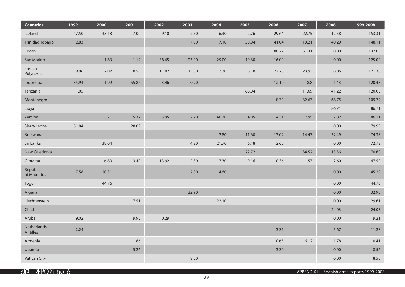| <b>Countries</b>         | 1999  | 2000  | 2001  | 2002  | 2003  | 2004  | 2005  | 2006  | 2007  | 2008     | 1999-2008 |
|--------------------------|-------|-------|-------|-------|-------|-------|-------|-------|-------|----------|-----------|
| Iceland                  | 17.50 | 43.18 | 7.00  | 9.10  | 2.50  | 6.30  | 2.76  | 29.64 | 22.75 | 12.58    | 153.31    |
| <b>Trinidad Tobago</b>   | 2.83  |       |       |       | 7.60  | 7.10  | 30.04 | 41.04 | 19.21 | 40.29    | 148.11    |
| Oman                     |       |       |       |       |       |       |       | 80.72 | 51.31 | 0.00     | 132.03    |
| San Marino               |       | 1.63  | 1.12  | 38.65 | 23.00 | 25.00 | 19.60 | 16.00 |       | 0.00     | 125.00    |
| French<br>Polynesia      | 9.06  | 2.02  | 8.53  | 11.02 | 13.00 | 12.30 | 6.18  | 27.28 | 23.93 | 8.06     | 121.38    |
| Indonesia                | 35.94 | 1.99  | 55.86 | 3.46  | 0.90  |       |       | 12.10 | 8.8   | 1.43     | 120.48    |
| Tanzania                 | 1.05  |       |       |       |       |       | 66.04 |       | 11.69 | 41.22    | 120.00    |
| Montenegro               |       |       |       |       |       |       |       | 8.30  | 32.67 | 68.75    | 109.72    |
| Libya                    |       |       |       |       |       |       |       |       |       | 86.71    | 86.71     |
| Zambia                   |       | 3.71  | 5.32  | 3.95  | 2.70  | 46.30 | 4.05  | 4.31  | 7.95  | 7.82     | 86.11     |
| Sierra Leone             | 51.84 |       | 28.09 |       |       |       |       |       |       | 0.00     | 79.93     |
| Botswana                 |       |       |       |       |       | 2.80  | 11.60 | 13.02 | 14.47 | 32.49    | 74.38     |
| Sri Lanka                |       | 38.04 |       |       | 4.20  | 21.70 | 6.18  | 2.60  |       | $0.00\,$ | 72.72     |
| New Caledonia            |       |       |       |       |       |       | 22.72 |       | 34.52 | 13.36    | 70.60     |
| Gibraltar                |       | 6.89  | 3.49  | 13.92 | 2.30  | 7.30  | 9.16  | 0.36  | 1.57  | 2.60     | 47.59     |
| Republic<br>of Mauritius | 7.58  | 20.31 |       |       | 2.80  | 14.60 |       |       |       | 0.00     | 45.29     |
| Togo                     |       | 44.76 |       |       |       |       |       |       |       | 0.00     | 44.76     |
| Algeria                  |       |       |       |       | 32.90 |       |       |       |       | 0.00     | 32.90     |
| Liechtenstein            |       |       | 7.51  |       |       | 22.10 |       |       |       | 0.00     | 29.61     |
| Chad                     |       |       |       |       |       |       |       |       |       | 24.03    | 24.03     |
| Aruba                    | 9.02  |       | 9.90  | 0.29  |       |       |       |       |       | 0.00     | 19.21     |
| Netherlands<br>Antilles  | 2.24  |       |       |       |       |       |       | 3.37  |       | 5.67     | 11.28     |
| Armenia                  |       |       | 1.86  |       |       |       |       | 0.65  | 6.12  | 1.78     | 10.41     |
| Uganda                   |       |       | 5.26  |       |       |       |       | 3.30  |       | 0.00     | 8.56      |
| <b>Vatican City</b>      |       |       |       |       | 8.50  |       |       |       |       | 0.00     | 8.50      |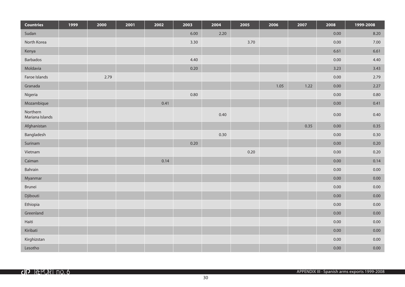| <b>Countries</b>            | 1999 | 2000 | 2001 | 2002 | 2003 | 2004 | 2005 | 2006 | 2007 | 2008     | 1999-2008 |
|-----------------------------|------|------|------|------|------|------|------|------|------|----------|-----------|
| Sudan                       |      |      |      |      | 6.00 | 2.20 |      |      |      | 0.00     | 8.20      |
| North Korea                 |      |      |      |      | 3.30 |      | 3.70 |      |      | $0.00\,$ | 7.00      |
| Kenya                       |      |      |      |      |      |      |      |      |      | 6.61     | 6.61      |
| Barbados                    |      |      |      |      | 4.40 |      |      |      |      | 0.00     | 4.40      |
| Moldavia                    |      |      |      |      | 0.20 |      |      |      |      | 3.23     | 3.43      |
| Faroe Islands               |      | 2.79 |      |      |      |      |      |      |      | 0.00     | 2.79      |
| Granada                     |      |      |      |      |      |      |      | 1.05 | 1.22 | 0.00     | 2.27      |
| Nigeria                     |      |      |      |      | 0.80 |      |      |      |      | $0.00\,$ | 0.80      |
| Mozambique                  |      |      |      | 0.41 |      |      |      |      |      | 0.00     | 0.41      |
| Northern<br>Mariana Islands |      |      |      |      |      | 0.40 |      |      |      | 0.00     | 0.40      |
| Afghanistan                 |      |      |      |      |      |      |      |      | 0.35 | 0.00     | 0.35      |
| Bangladesh                  |      |      |      |      |      | 0.30 |      |      |      | 0.00     | 0.30      |
| Surinam                     |      |      |      |      | 0.20 |      |      |      |      | 0.00     | 0.20      |
| Vietnam                     |      |      |      |      |      |      | 0.20 |      |      | 0.00     | 0.20      |
| Caiman                      |      |      |      | 0.14 |      |      |      |      |      | 0.00     | 0.14      |
| Bahrain                     |      |      |      |      |      |      |      |      |      | $0.00\,$ | $0.00\,$  |
| Myanmar                     |      |      |      |      |      |      |      |      |      | 0.00     | 0.00      |
| Brunei                      |      |      |      |      |      |      |      |      |      | 0.00     | 0.00      |
| Djibouti                    |      |      |      |      |      |      |      |      |      | 0.00     | 0.00      |
| Ethiopia                    |      |      |      |      |      |      |      |      |      | 0.00     | $0.00\,$  |
| Greenland                   |      |      |      |      |      |      |      |      |      | 0.00     | 0.00      |
| Haiti                       |      |      |      |      |      |      |      |      |      | $0.00\,$ | 0.00      |
| Kiribati                    |      |      |      |      |      |      |      |      |      | 0.00     | 0.00      |
| Kirghizstan                 |      |      |      |      |      |      |      |      |      | 0.00     | 0.00      |
| Lesotho                     |      |      |      |      |      |      |      |      |      | 0.00     | $0.00\,$  |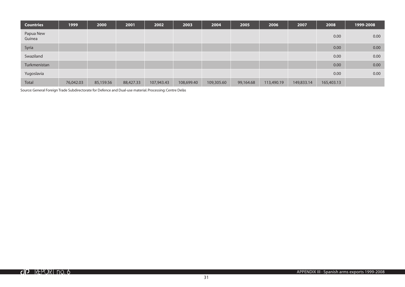| <b>Countries</b>    | 1999      | 2000      | 2001      | 2002       | 2003       | 2004       | 2005      | 2006       | 2007       | 2008       | 1999-2008         |
|---------------------|-----------|-----------|-----------|------------|------------|------------|-----------|------------|------------|------------|-------------------|
| Papua New<br>Guinea |           |           |           |            |            |            |           |            |            | 0.00       | 0.00              |
| Syria               |           |           |           |            |            |            |           |            |            | 0.00       | 0.00 <sub>1</sub> |
| Swaziland           |           |           |           |            |            |            |           |            |            | 0.00       | 0.00              |
| Turkmenistan        |           |           |           |            |            |            |           |            |            | 0.00       | 0.00              |
| Yugoslavia          |           |           |           |            |            |            |           |            |            | 0.00       | 0.00              |
| <b>Total</b>        | 76,042.03 | 85,159.56 | 88,427.33 | 107,943.43 | 108,699.40 | 109,305.60 | 99,164.68 | 113,490.19 | 149,833.14 | 165,403.13 |                   |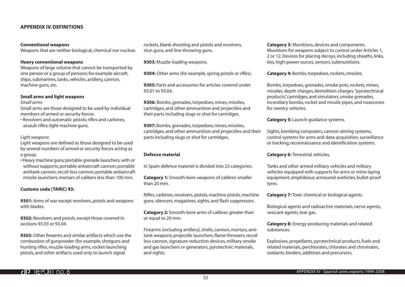# **APPENDIX IV. DEFINITIONS**

#### **Conventional weapons**

Weapons that are neither biological, chemical nor nuclear.

#### **Heavy conventional weapons**

Weapons of large volume that cannot be transported by one person or a group of persons; for example aircraft, ships, submarines, tanks, vehicles, artillery, cannon, machine guns, etc.

## **Small arms and light weapons**

*Small arms:*

Small arms are those designed to be used by individual members of armed or security forces.

• Revolvers and automatic pistols; rifles and carbines; assault rifles; light machine guns.

#### *Light weapons:*

Light weapons are defined as those designed to be used by several numbers of armed or security forces acting as a group.

• Heavy machine guns; portable grenade launchers, with or without supports; portable antiaircraft cannon; portable antitank cannon; recoil-less cannon; portable antiaircraft missile launchers; mortars of calibers less than 100 mm.

#### **Customs code (TARIC) 93:**

**9301:** Arms of war except revolvers, pistols and weapons with blades.

**9302:** Revolvers and pistols, except those covered in sections 93.03 or 93.04.

**9303:** Other firearms and similar artifacts which use the combustion of gunpowder (for example, shotguns and hunting rifles, muzzle-loading arms, rocket-launching pistols, and other artifacts used only to launch signal

rockets, blank-shooting and pistols and revolvers, stun guns, and line-throwing guns.

**9303:** Muzzle-loading weapons.

**9304:** Other arms (for example, spring pistols or rifles).

**9305:** Parts and accessories for articles covered under 93.01 to 93.04.

**9306:** Bombs, grenades, torpedoes, mines, missiles, cartridges, and other ammunition and projectiles and their parts including slugs or shot for cartridges.

**9307:** Bombs, grenades, torpedoes, mines, missiles, cartridges, and other ammunition and projectiles and their parts including slugs or shot for cartridges.

# **Defence material**

In Spain defence materiel is divided into 23 categories:

**Category 1:** Smooth-bore weapons of calibres smaller than 20 mm.

Rifles, carbines, revolvers, pistols, machine pistols, machine guns, silencers, magazines, sights, and flash suppressors.

**Category 2:** Smooth-bore arms of calibres greater than or equal to 20 mm.

Firearms (including artillery), shells, cannon, mortars, antitank weapons, projectile launchers, flame throwers, recoilless cannon, signature-reduction devices, military smoke and gas launchers or generators, pyrotechnic materials, and sights.

**Category 3:** Munitions, devices and components. Munitions for weapons subject to control under Articles 1, 2 or 12. Devices for placing decoys, including sheaths, links, ties, high-power ources, sensors, submunitions.

**Category 4:** Bombs, torpedoes, rockets, missiles.

Bombs, torpedoes, grenades, smoke pots, rockets, mines, missiles, depth charges, demolition charges, "pyrotechnical products", cartridges, and simulators, smoke grenades, incendiary bombs, rocket and missile pipes, and nosecones for reentry vehicles.

**Category 5: Launch-guidance systems.** 

Sights, bombing computers, cannon aiming systems, control systems for arms and data-acquisition, surveillance or tracking, reconnaissance and identification systems.

**Category 6: Terrestrial vehicles.** 

Tanks and other armed military vehicles and military vehicles equipped with supports for arms or mine-laying equipment, amphibious armoured avehicles, bullet-proof tyres.

**Category 7:** Toxic chemical or biological agents.

Biological agents and radioactive materials, nerve agents, vesicant agents, tear gas.

**Category 8:** Energy-producing materials and related substances.

Explosives, propellants, pyrotechnical products, fuels and related materials, perchlorates, chlorates and chromates, oxidants, binders, additives and precursors.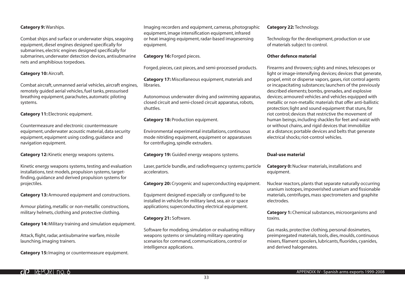# **Category 9:** Warships.

Combat ships and surface or underwater ships, seagoing equipment, diesel engines designed specifically for submarines, electric engines designed specifically for submarines, underwater detection devices, antisubmarine nets and amphibious torpedoes.

# **Category 10:** Aircraft.

Combat aircraft, unmanned aerial vehicles, aircraft engines, remotely guided aerial vehicles, fuel tanks, pressurised breathing equipment, parachutes, automatic piloting systems.

**Category 11:** Electronic equipment.

Countermeasure and electronic countermeasure equipment, underwater acoustic material, data security equipment, equipment using coding, guidance and navigation equipment.

**Category 12:** Kinetic energy weapons systems.

Kinetic energy weapons systems, testing and evaluation installations, test models, propulsion systems, targetfinding, guidance and derived propulsion systems for projectiles.

**Category 13:** Armoured equipment and constructions.

Armour plating, metallic or non-metallic constructions, military helmets, clothing and protective clothing.

**Category 14:** Military training and simulation equipment.

Attack, flight, radar, antisubmarine warfare, missile launching, imaging trainers.

**Category 15:** Imaging or countermeasure equipment.

Imaging recorders and equipment, cameras, photographic equipment, image intensification equipment, infrared or heat imaging equipment, radar-based imagesensing equipment.

#### **Category 16:** Forged pieces.

Forged, pieces, cast pieces, and semi-processed products.

**Category 17:** Miscellaneous equipment, materials and libraries.

Autonomous underwater diving and swimming apparatus, closed circuit and semi-closed circuit apparatus, robots, shuttles.

## **Category 18: Production equipment.**

Environmental experimental installations, continuous mode nitriding equipment, equipment or apparatuses for centrifuging, spindle extruders.

**Category 19:** Guided energy weapons systems.

Laser, particle bundle, and radiofrequency systems; particle accelerators.

**Category 20:** Cryogenic and superconducting equipment.

Equipment designed especially or configured to be installed in vehicles for military land, sea, air or space applications; superconducting electrical equipment.

# **Category 21:** Software.

Software for modeling, simulation or evaluating military weapons systems or simulating military operating scenarios for command, communications, control or intelligence applications.

#### **Category 22:** Technology.

Technology for the development, production or use of materials subject to control.

# **Other defence material**

Firearms and throwers; sights and mines, telescopes or light or image-intensifying devices; devices that generate, propel, emit or disperse vapors, gases, riot control agents or incapacitating substances; launchers of the previously described elements; bombs, grenades, and explosive devices; armoured vehicles and vehicles equipped with metallic or non-metallic materials that offer anti-ballistic protection; light and sound equipment that stuns, for riot control; devices that restrictive the movement of human beings, including shackles for feet and waist with or without chains, and rigid devices that immobilize at a distance; portable devices and belts that generate electrical shocks; riot-control vehicles.

#### **Dual-use material**

**Category 0:** Nuclear materials, installations and equipment.

Nuclear reactors, plants that separate naturally occurring uranium isotopes, impoverished uranium and fissionable materials, centrifuges, mass spectrometers and graphite electrodes.

**Category 1:** Chemical substances, microorganisms and toxins.

Gas masks, protective clothing, personal dosimeters, preimpregated materials, tools, dies, moulds, continuous mixers, filament spoolers, lubricants, fluorides, cyanides, and derived halogenates.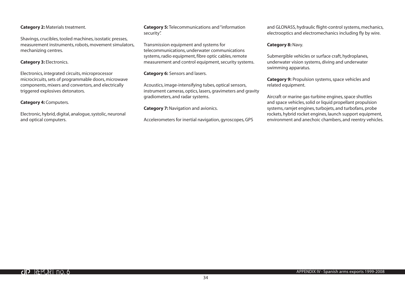# **Category 2:** Materials treatment.

Shavings, crucibles, tooled machines, isostatic presses, measurement instruments, robots, movement simulators, mechanizing centres.

# **Category 3:** Electronics.

Electronics, integrated circuits, microprocessor microcircuits, sets of programmable doors, microwave components, mixers and convertors, and electrically triggered explosives detonators.

# **Category 4:** Computers.

Electronic, hybrid, digital, analogue, systolic, neuronal and optical computers.

**Category 5:** Telecommunications and "information security".

Transmission equipment and systems for telecommunications, underwater communications systems, radio equipment, fibre optic cables, remote measurement and control equipment, security systems.

# **Category 6:** Sensors and lasers.

Acoustics, image-intensifying tubes, optical sensors, instrument cameras, optics, lasers, gravimeters and gravity gradiometers, and radar systems.

## **Category 7: Navigation and avionics.**

Accelerometers for inertial navigation, gyroscopes, GPS

and GLONASS, hydraulic flight-control systems, mechanics, electrooptics and electromechanics including fly by wire.

# **Category 8:** Navy.

Submergible vehicles or surface craft, hydroplanes, underwater vision systems, diving and underwater swimming apparatus.

**Category 9:** Propulsion systems, space vehicles and related equipment.

Aircraft or marine gas-turbine engines, space shuttles and space vehicles, solid or liquid propellant propulsion systems, ramjet engines, turbojets, and turbofans, probe rockets, hybrid rocket engines, launch support equipment, environment and anechoic chambers, and reentry vehicles.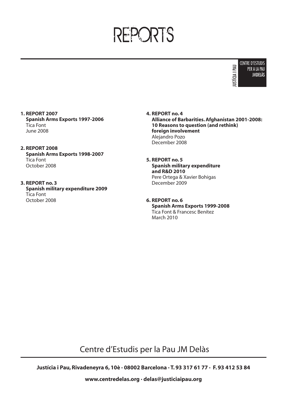# REPORTS



- **1. REPORT 2007 Spanish Arms Exports 1997-2006** Tica Font June 2008
- **2. REPORT 2008 Spanish Arms Exports 1998-2007** Tica Font October 2008
- **3. REPORT no. 3 Spanish military expenditure 2009** Tica Font October 2008
- **4. REPORT no. 4 Alliance of Barbarities. Afghanistan 2001-2008: 10 Reasons to question (and rethink) foreign involvement** Alejandro Pozo December 2008
- **5. REPORT no. 5 Spanish military expenditure and R&D 2010** Pere Ortega & Xavier Bohigas December 2009
- **6. REPORT no. 6 Spanish Arms Exports 1999-2008** Tica Font & Francesc Benítez March 2010

Centre d'Estudis per la Pau JM Delàs

**Justícia i Pau, Rivadeneyra 6, 10è · 08002 Barcelona · T. 93 317 61 77 · F. 93 412 53 84**

**www.centredelas.org · delas@justiciaipau.org**